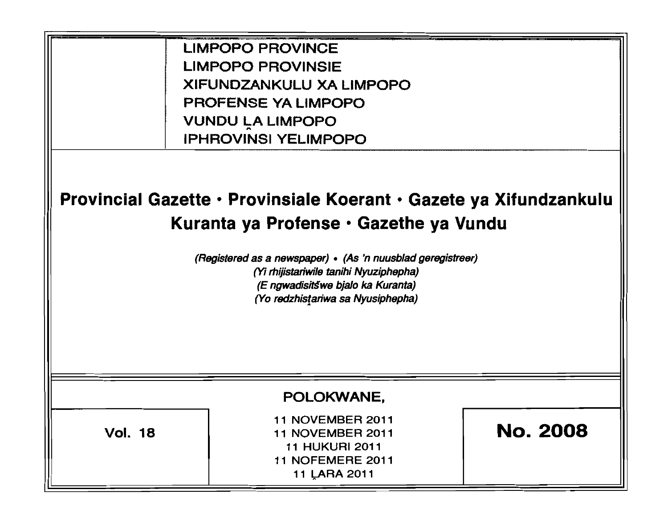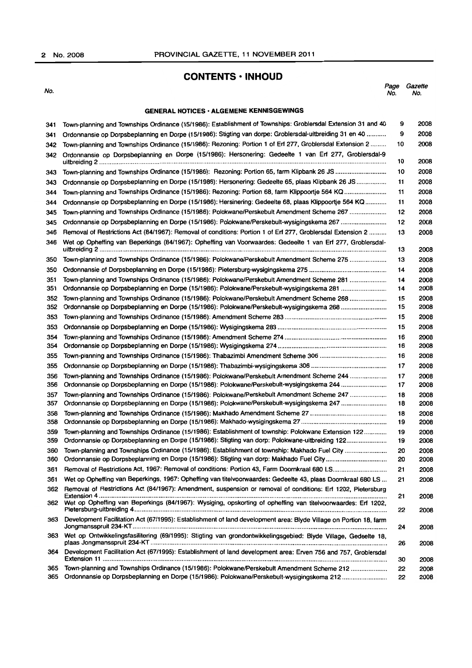# **CONTENTS • INHOUD**

| I<br>o |  |
|--------|--|
| . .    |  |

No. Page Gazette No. No.

# GENERAL NOTICES· ALGEMENE KENNISGEWINGS

| 341 | Town-planning and Townships Ordinance (15/1986): Establishment of Townships: Groblersdal Extension 31 and 40      | 9  | 2008 |
|-----|-------------------------------------------------------------------------------------------------------------------|----|------|
| 341 | Ordonnansie op Dorpsbeplanning en Dorpe (15/1986): Stigting van dorpe: Groblersdal-uitbreiding 31 en 40           | 9  | 2008 |
| 342 | Town-planning and Townships Ordinance (15/1986): Rezoning: Portion 1 of Erf 277, Groblersdal Extension 2          | 10 | 2008 |
| 342 | Ordonnansie op Dorpsbeplanning en Dorpe (15/1986): Hersonering: Gedeelte 1 van Erf 277, Groblersdal-9             | 10 | 2008 |
| 343 | Town-planning and Townships Ordinance (15/1986): Rezoning: Portion 65, farm Klipbank 26 JS                        | 10 | 2008 |
| 343 | Ordonnansie op Dorpsbeplanning en Dorpe (15/1986): Hersonering: Gedeelte 65, plaas Klipbank 26 JS                 | 11 | 2008 |
| 344 | Town-planning and Townships Ordinance (15/1986): Rezoning: Portion 68, farm Klippoortje 564 KQ                    | 11 | 2008 |
| 344 | Ordonnansie op Dorpsbeplanning en Dorpe (15/1986): Hersinering: Gedeelte 68, plaas Klippoortje 564 KQ             | 11 | 2008 |
| 345 | Town-planning and Townships Ordinance (15/1986): Polokwane/Perskebult Amendment Scheme 267                        | 12 | 2008 |
| 345 |                                                                                                                   | 12 | 2008 |
| 346 | Removal of Restrictions Act (84/1967): Removal of conditions: Portion 1 of Erf 277, Groblersdal Extension 2       | 13 | 2008 |
| 346 | Wet op Opheffing van Beperkings (84/1967): Opheffing van Voorwaardes: Gedeelte 1 van Erf 277, Groblersdal-        | 13 | 2008 |
| 350 | Town-planning and Townships Ordinance (15/1986): Polokwane/Perskebult Amendment Scheme 275                        | 13 | 2008 |
| 350 |                                                                                                                   | 14 | 2008 |
| 351 | Town-planning and Townships Ordinance (15/1986): Polokwane/Perskebult Amendment Scheme 281                        | 14 | 2008 |
| 351 |                                                                                                                   | 14 | 2008 |
| 352 | Town-planning and Townships Ordinance (15/1986): Polokwane/Perskebult Amendment Scheme 268                        | 15 | 2008 |
| 352 | Ordonnansie op Dorpsbeplanning en Dorpe (15/1986): Polokwane/Perskebult-wysigingskema 268                         | 15 | 2008 |
| 353 |                                                                                                                   | 15 | 2008 |
| 353 |                                                                                                                   | 15 | 2008 |
| 354 |                                                                                                                   | 16 | 2008 |
| 354 |                                                                                                                   | 16 | 2008 |
| 355 |                                                                                                                   | 16 | 2008 |
| 355 |                                                                                                                   | 17 | 2008 |
| 356 | Town-planning and Townships Ordinance (15/1986): Polokwane/Perskebult Amendment Scheme 244                        | 17 | 2008 |
| 356 | Ordonnansie op Dorpsbeplanning en Dorpe (15/1986): Polokwane/Perskebult-wysigingskema 244                         | 17 | 2008 |
| 357 | Town-planning and Townships Ordinance (15/1986): Polokwane/Perskebult Amendment Scheme 247                        | 18 | 2008 |
| 357 | Ordonnansie op Dorpsbeplanning en Dorpe (15/1986): Polokwane/Perskebult-wysigingskema 247                         | 18 | 2008 |
| 358 |                                                                                                                   | 18 | 2008 |
| 358 |                                                                                                                   | 19 | 2008 |
| 359 | Town-planning and Townships Ordinance (15/1986): Establishment of township: Polokwane Extension 122               | 19 | 2008 |
| 359 | Ordonnansie op Dorpsbeplanning en Dorpe (15/1986): Stigting van dorp: Polokwane-uitbreiding 122                   | 19 | 2008 |
| 360 |                                                                                                                   | 20 | 2008 |
| 360 |                                                                                                                   | 20 | 2008 |
| 361 |                                                                                                                   | 21 | 2008 |
| 361 | Wet op Opheffing van Beperkings, 1967: Opheffing van titelvoorwaardes: Gedeelte 43, plaas Doornkraal 680 LS       | 21 | 2008 |
| 362 | Removal of Restrictions Act (84/1967): Amendment, suspension or removal of conditions: Erf 1202, Pietersburg      | 21 | 2008 |
| 362 | Wet op Opheffing van Beperkings (84/1967): Wysiging, opskorting of opheffing van titelvoorwaardes: Erf 1202,      | 22 | 2008 |
| 363 | Development Facilitation Act (67/1995): Establishment of land development area: Blyde Village on Portion 18, farm | 24 | 2008 |
| 363 | Wet op Ontwikkelingsfasilitering (69/1995): Stigting van grondontwikkelingsgebied: Blyde Village, Gedeelte 18,    | 26 | 2008 |
| 364 | Development Facilitation Act (67/1995): Establishment of land development area: Erven 756 and 757, Groblersdal    | 30 | 2008 |
| 365 | Town-planning and Townships Ordinance (15/1986): Polokwane/Perskebult Amendment Scheme 212                        | 22 | 2008 |
| 365 | Ordonnansie op Dorpsbeplanning en Dorpe (15/1986): Polokwane/Perskebult-wysigingskema 212                         | 22 | 2008 |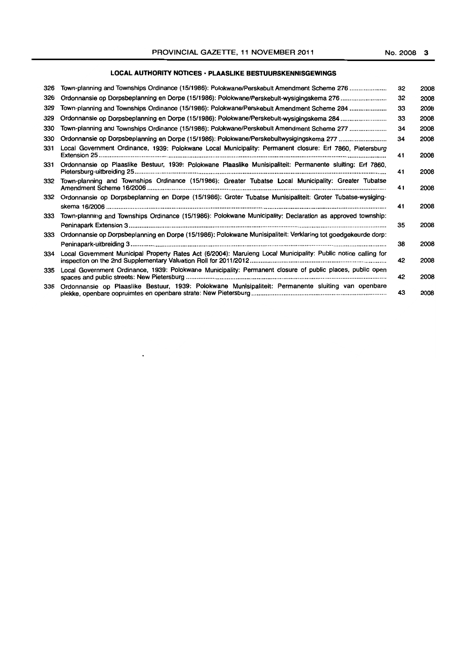# **LOCAL AUTHORITY NOTICES' PLAASLIKE BESTUURSKENNISGEWINGS**

| 326 | Town-planning and Townships Ordinance (15/1986): Polokwane/Perskebult Amendment Scheme 276                     | 32 | 2008 |
|-----|----------------------------------------------------------------------------------------------------------------|----|------|
| 326 |                                                                                                                | 32 | 2008 |
| 329 | Town-planning and Townships Ordinance (15/1986): Polokwane/Perskebult Amendment Scheme 284                     | 33 | 2008 |
| 329 | Ordonnansie op Dorpsbeplanning en Dorpe (15/1986): Polokwane/Perskebult-wysigingskema 284                      | 33 | 2008 |
| 330 | Town-planning and Townships Ordinance (15/1986): Polokwane/Perskebult Amendment Scheme 277                     | 34 | 2008 |
| 330 | Ordonnansie op Dorpsbeplanning en Dorpe (15/1986): Polokwane/Perskebultwysigingskema 277                       | 34 | 2008 |
| 331 | Local Government Ordinance, 1939: Polokwane Local Municipality: Permanent closure: Erf 7860, Pietersburg       | 41 | 2008 |
| 331 | Ordonnansie op Plaaslike Bestuur, 1939: Polokwane Plaaslike Munisipaliteit: Permanente sluiting: Erf 7860,     | 41 | 2008 |
| 332 | Town-planning and Townships Ordinance (15/1986): Greater Tubatse Local Municipality: Greater Tubatse           | 41 | 2008 |
| 332 | Ordonnansie op Dorpsbeplanning en Dorpe (15/1986): Groter Tubatse Munisipaliteit: Groter Tubatse-wysiging-     | 41 | 2008 |
| 333 | Town-planning and Townships Ordinance (15/1986): Polokwane Municipality: Declaration as approved township:     |    |      |
| 333 |                                                                                                                | 35 | 2008 |
|     | Ordonnansie op Dorpsbeplanning en Dorpe (15/1986): Polokwane Munisipaliteit: Verklaring tot goedgekeurde dorp: | 38 | 2008 |
| 334 | Local Government Municipal Property Rates Act (6/2004): Maruleng Local Municipality: Public notice calling for | 42 | 2008 |
| 335 | Local Government Ordinance, 1939: Polokwane Municipality: Permanent closure of public places, public open      | 42 | 2008 |
| 335 | Ordonnansie op Plaaslike Bestuur, 1939: Polokwane Munisipaliteit: Permanente sluiting van openbare             | 43 | 2008 |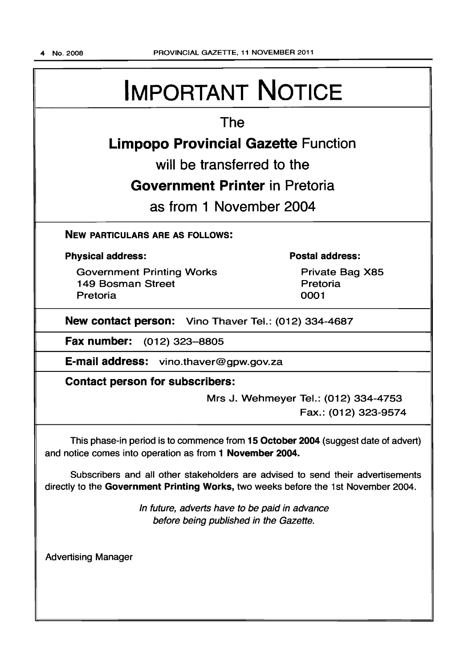# IMPORTANT NOTICE

# The

# Limpopo Provincial Gazette Function

will be transferred to the

# Government Printer in Pretoria

as from 1 November 2004

NEW PARTICULARS ARE AS FOLLOWS:

# Physical address:

Government Printing Works 149 Bosman Street Pretoria

# Postal address:

Private Bag X85 Pretoria 0001

New contact person: Vino Thaver Tel.: (012) 334-4687

Fax number: (012) 323-8805

E-mail address: vino.thaver@gpw.gov.za

Contact person for subscribers:

Mrs J. Wehmeyer Tel.: (012) 334-4753 Fax.: (012) 323-9574

This phase-in period is to commence from 15 October 2004 (suggest date of advert) and notice comes into operation as from 1 November 2004.

Subscribers and all other stakeholders are advised to send their advertisements directly to the Government Printing Works, two weeks before the 1st November 2004.

> In future, adverts have to be paid in advance before being published in the Gazette.

Advertising Manager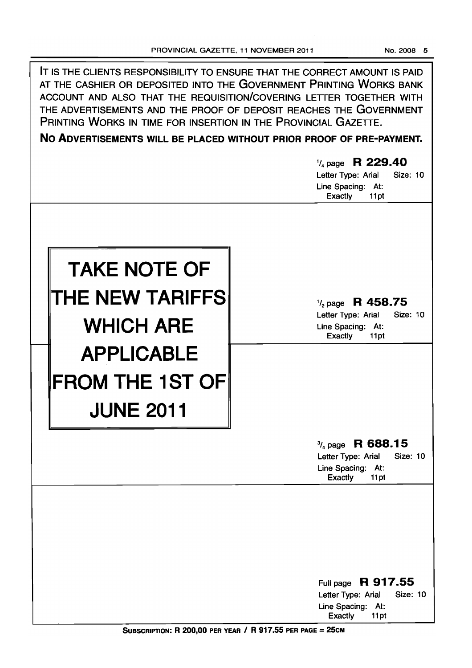q,

| PRINTING WORKS IN TIME FOR INSERTION IN THE PROVINCIAL GAZETTE.   | IT IS THE CLIENTS RESPONSIBILITY TO ENSURE THAT THE CORRECT AMOUNT IS PAID<br>AT THE CASHIER OR DEPOSITED INTO THE GOVERNMENT PRINTING WORKS BANK<br>ACCOUNT AND ALSO THAT THE REQUISITION/COVERING LETTER TOGETHER WITH<br>THE ADVERTISEMENTS AND THE PROOF OF DEPOSIT REACHES THE GOVERNMENT<br>NO ADVERTISEMENTS WILL BE PLACED WITHOUT PRIOR PROOF OF PRE-PAYMENT.<br>$\frac{1}{4}$ page R 229.40<br>Letter Type: Arial<br><b>Size: 10</b><br>Line Spacing: At:<br>Exactly<br>11pt |
|-------------------------------------------------------------------|----------------------------------------------------------------------------------------------------------------------------------------------------------------------------------------------------------------------------------------------------------------------------------------------------------------------------------------------------------------------------------------------------------------------------------------------------------------------------------------|
| <b>TAKE NOTE OF</b><br><b>THE NEW TARIFFS</b><br><b>WHICH ARE</b> | $\frac{1}{2}$ page R 458.75<br>Letter Type: Arial<br><b>Size: 10</b><br>Line Spacing: At:<br><b>Exactly</b><br>11pt                                                                                                                                                                                                                                                                                                                                                                    |
| <b>APPLICABLE</b><br><b>FROM THE 1ST OF</b><br><b>JUNE 2011</b>   | $\frac{3}{4}$ page R 688.15                                                                                                                                                                                                                                                                                                                                                                                                                                                            |
|                                                                   | <b>Size: 10</b><br>Letter Type: Arial<br>Line Spacing:<br>At:<br><b>Exactly</b><br>11pt                                                                                                                                                                                                                                                                                                                                                                                                |
|                                                                   | Full page R 917.55<br>Letter Type: Arial<br><b>Size: 10</b><br>Line Spacing: At:<br>Exactly<br>11pt                                                                                                                                                                                                                                                                                                                                                                                    |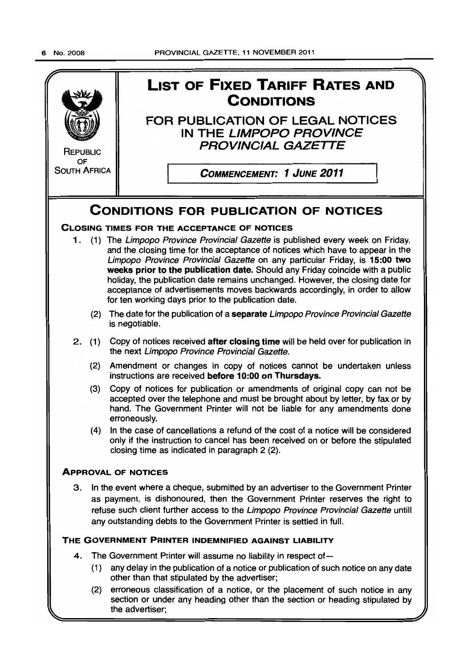

section or under any heading other than the section or heading stipulated by the advertiser;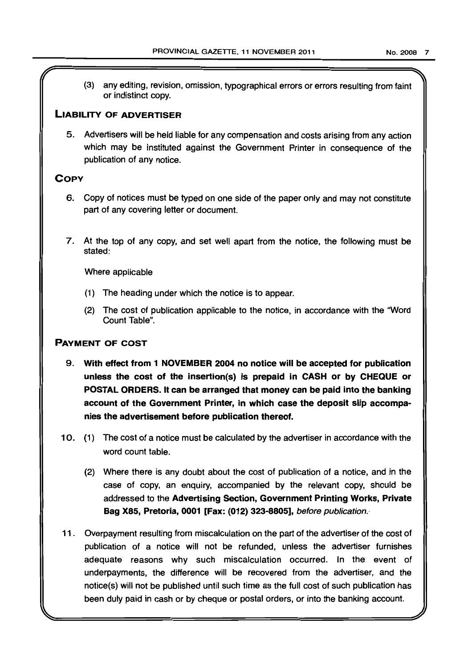(3) any editing, revision, omission, typographical errors or errors resulting from faint or indistinct copy.

# LIABILITY OF ADVERTISER

5. Advertisers will be held liable for any compensation and costs arising from any action which may be instituted against the Government Printer in consequence of the publication of any notice.

# **COPY**

- 6. Copy of notices must be typed on one side of the paper only and may not constitute part of any covering letter or document.
- 7. At the top of any copy, and set well apart from the notice, the following must be stated:

Where applicable

- (1) The heading under which the notice is to appear.
- (2) The cost of publication applicable to the notice, in accordance with the 'Word Count Table".

# PAYMENT OF COST

- 9. With effect from 1 NOVEMBER 2004 no notice will be accepted for publication unless the cost of the insertion(s) is prepaid in CASH or by CHEQUE or POSTAL ORDERS. It can be arranged that money can be paid into the banking account of the Government Printer, in which case the deposit slip accompanies the advertisement before publication thereof.
- 10. (1) The cost of a notice must be calculated by the advertiser in accordance with the word count table.
	- (2) Where there is any doubt about the cost of publication of a notice, and in the case of copy, an enquiry, accompanied by the relevant copy, should be addressed to the Advertising Section, Government Printing Works, Private Bag X8S, Pretoria, 0001 [Fax: (012) 323-8805], before publication."
- 11. Overpayment resulting from miscalculation on the part of the advertiser of the cost of publication of a notice will not be refunded, unless the advertiser furnishes adequate reasons why such miscalculation occurred. In the event of underpayments, the difference will be recovered from the advertiser, and the notice(s) will not be published until such time as the full cost of such publication has been duly paid in cash or by cheque or postal orders, or into the banking account.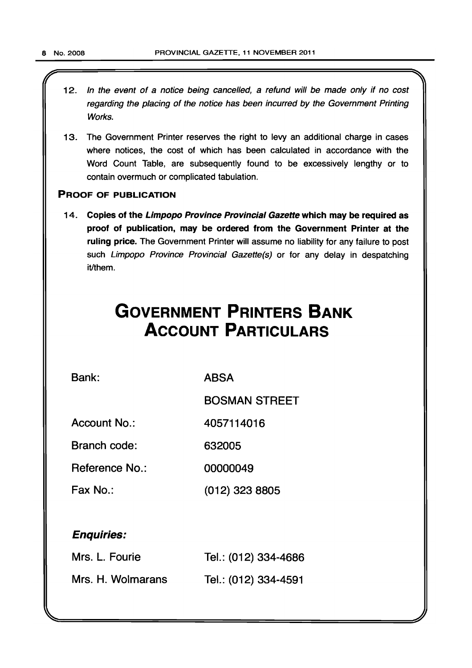12. In the event of a notice being cancelled, a refund will be made only if no cost regarding the placing of the notice has been incurred by the Government Printing Works.

 $\mathcal{L}$   $\mathcal{L}$   $\mathcal{L}$   $\mathcal{L}$   $\mathcal{L}$   $\mathcal{L}$   $\mathcal{L}$   $\mathcal{L}$   $\mathcal{L}$   $\mathcal{L}$   $\mathcal{L}$   $\mathcal{L}$   $\mathcal{L}$   $\mathcal{L}$   $\mathcal{L}$   $\mathcal{L}$   $\mathcal{L}$   $\mathcal{L}$   $\mathcal{L}$   $\mathcal{L}$   $\mathcal{L}$   $\mathcal{L}$   $\mathcal{L}$   $\mathcal{L}$   $\mathcal{$ 

13. The Government Printer reserves the right to levy an additional charge in cases where notices, the cost of which has been calculated in accordance with the Word Count Table, are subsequently found to be excessively lengthy or to contain overmuch or complicated tabulation.

# PROOF OF PUBLICATION

14. Copies of the Limpopo Province Provincial Gazette which may be required as proof of publication, may be ordered from the Government Printer at the ruling price. The Government Printer will assume no liability for any failure to post such Limpopo Province Provincial Gazette(s) or for any delay in despatching it/them.

# **GOVERNMENT PRINTERS BANK ACCOUNT PARTICULARS**

Bank:

ABSA

BOSMAN STREET

Account No.: 4057114016

Branch code: 632005

Reference No.: 00000049

Fax No.: (012) 323 8805

# Enquiries:

| Mrs. L. Fourie    | Tel.: (012) 334-4686 |
|-------------------|----------------------|
| Mrs. H. Wolmarans | Tel.: (012) 334-4591 |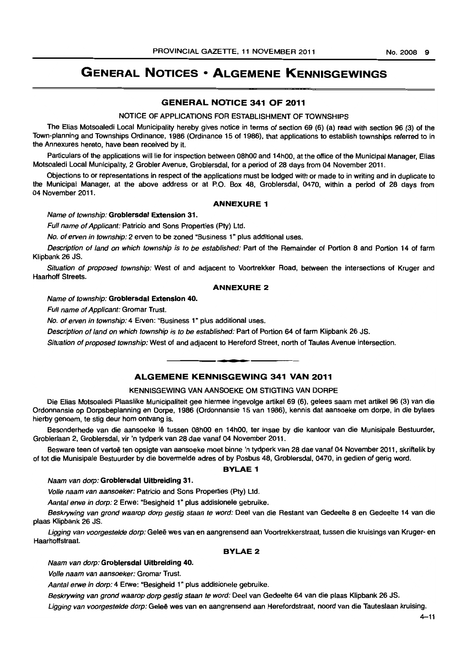# **GENERAL NOTICES • ALGEMENE KENNISGEWINGS**

# **GENERAL NOTICE 341 OF 2011**

#### NOTICE OF APPLICATIONS FOR ESTABLISHMENT OF TOWNSHIPS

The Elias Motsoaledi Local Municipality hereby gives notice in terms of section 69 (6) (a) read with section 96 (3) of the Town-planning and Townships Ordinance. 1986 (Ordinance 15 of 1986), that applications to establish townships referred to in the Annexures hereto. have been received by it.

Particulars of the applications will lie for inspection between 08h00 and 14h00, at the office of the Municipal Manager, Elias Motsoaledi Local Municipality, 2 Grobler Avenue. Groblersdal. for a period of 28 days from 04 November 2011.

Objections to or representations in respect of the applications must be lodged with or made to in writing and in duplicate to the Municipal Manager, at the above address or at P.O. Box 48, Groblersdal, 0470, within a period of 28 days from 04 November 2011.

## **ANNEXURE 1**

## Name of township: **Groblersdal Extension** 31.

Full name of Applicant: Patricio and Sons Properties (Ptv) Ltd.

No. of erven in township: 2 erven to be zoned "Business 1" plus additional uses.

Description of land on which township is to be established: Part of the Remainder of Portion 8 and Portion 14 of farm Klipbank 26 JS.

Situation of proposed township: West of and adjacent to Voortrekker Road, between the intersections of Kruger and Haarhoff Streets.

#### **ANNEXURE 2**

Name of township: **Groblersdal Extension** 40.

Full name of Applicant: Gromar Trust.

No. of erven in township: 4 Erven: "Business 1" plus additional uses.

Description of land on which township is to be established: Part of Portion 64 of farm Klipbank 26 JS.

Situation of proposed township: West of and adjacent to Hereford Street, north of Tautes Avenue intersection.

# **ALGEMENE KENNISGEWING 341 VAN 2011**

**1\_** 

#### KENNISGEWING VAN AANSOEKE OM STIGTING VAN DORPE

Die Elias Motsoaledi Plaaslike Municipaliteit gee hiermee ingevolge artikel 69 (6), gelees saam met artlkel 96 (3) van die Ordonnansie op Dorpsbeplanning en Dorpe, 1986 (Ordonnansie 15 van 1986), kennis dat aansoeke om dorpa. in die bylaes hierby genoem, te stig deur hom ontvang is.

Besonderhede van die aansoeke lê tussen 08h00 en 14h00, ter insae by die kantoor van die Munisipale Bestuurder, Groblerlaan 2, Groblersdal, vir 'n tydperk van 28 dae vanaf 04 November 2011.

Besware teen of vertoë ten opsigte van aansoeke moet binne 'n tydperk van 28 dae vanaf 04 November 2011, skriftelik by of tot die Munisipale Bestuurder by die bovermelde adres of by Posbus 48, Groblersdal, 0470, in gedien of gerig word.

#### **BYLAE 1**

#### Naam van dorp: **Groblersdal Uitbreidlng** 31.

Volle naam van aansoeker: Patricio and Sons Properties (Ply) Ltd.

Aantal erwe in dorp: 2 Erwe: "Besigheid 1" plus addisionele gebruike.

Beskrywing van grond waarop dorp gestig staan te word: Deel van die Restant van Gedeelte 8 en Gedeelte 14 van die plaas Klipbank 26 JS.

Ligging van voorgestelde dorp: Geleë wes van en aangrensend aan Voortrekkerstraat, tussen die kruisings van Kruger- en Haarhoffstraat.

# **BYLAE 2**

## Naam van dorp: **Groblersdal Uitbreiding** 40.

Volle naam van aansoeker: Gromar Trust.

Aantal erwe in dorp: 4 Erwe: "Besigheid 1" plus addisionele gebruike.

Beskrywing van grond waarop dorp gestig staan te word: Deel van Gedeelte 64 van die plaas Klipbank 26 JS.

Ligging van voorgestelde dorp: Geleë wes van en aangrensend aan Herefordstraat, noord van die Tauteslaan kruising.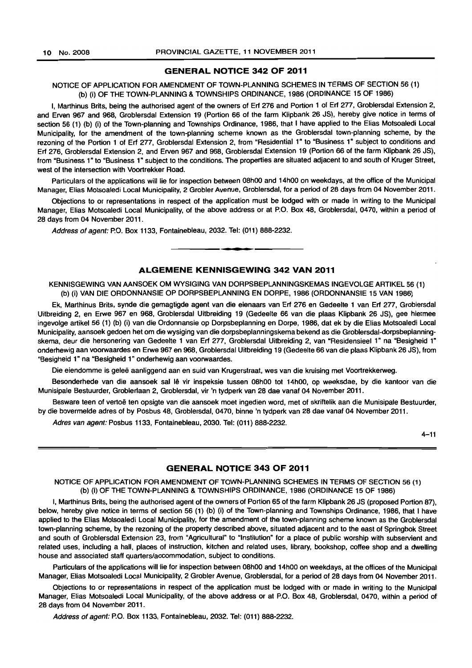#### **GENERAL NOTICE 342 OF 2011**

## NOTICE OF APPLICATION FOR AMENDMENT OF TOWN-PLANNING SCHEMES **IN** TERMS OF SECTION 56 (1) (b) (i) OF THE TOWN·PLANNING & TOWNSHIPS ORDINANCE, 1986 (ORDINANCE 15 OF 1986)

I, Marthinus Brits, being the authorised agent of the owners of Erf 276 and Portion 1 of Erf 277, Groblersdal Extension 2, and Erven 967 and 968, Groblersdal Extension 19 (Portion 66 of the farm Klipbank 26 JS), hereby give notice in terms of section 56 (1) (b) (i) of the Town-planning and Townships Ordinance, 1986, that I have applied to the Elias Motsoaledi Local Municipality, for the amendment of the town-planning scheme known as the Groblersdal town-planning scheme, by the rezoning of the Portion 1 of Erf 277, Groblersdal Extension 2, from "Residential 1" to "Business 1" subject to conditions and Erf 276, Groblersdal Extension 2, and Erven 967 and 968, Groblersdal Extension 19 (Portion 66 of the farm Klipbank 26 JS), from "Business 1" to "Business 1" subject to the conditions. The properties are situated adjacent to and south of Kruger Street, west of the intersection with Voortrekker Road.

Particulars of the applications will lie for inspection between OShOO and 14hOO on weekdays, at the office of the Municipal Manager, Elias Motsoaledi Local Municipality, 2 Grobler Avenue, Groblersdal, for a period of 28 days from 04 November 2011.

Objections to or representations in respect of the application must be lodged with or made in writing to the Municipal Manager, Elias Motsoaledi Local Municipality, of the above address or at P.O. Box 48, Groblersdal, 0470, within a period of 28 days from 04 November 2011.

Address of agent: P.O. Box 1133, Fontainebleau, 2032. Tel: (011) 888-2232 . . **-.** 

#### **ALGEMENE KENNISGEWING 342 VAN 2011**

KENNISGEWING VAN AANSOEK OM WYSIGING VAN DORPSBEPLANNINGSKEMAS INGEVOLGE ARTIKEL 56 (1) (b) (i) VAN DIE ORDONNANSIE OP DORPSBEPLANNING EN DORPE, 1986 (ORDONNANSIE 15 VAN 1986)

Ek, Marthinus Brits, synde die gemagtigde agent van die eienaars van Erf 276 en Gedeelte 1 van Erf 277, Groblersdal Uitbreiding 2, en Erwe 967 en 968, Groblersdal Uitbreiding 19 (Gedeelte 66 van die plaas Klipbank 26 JS), gee hiermee ingevolge artikel 56 (1) (b) (i) van die Ordonnansie op Dorpsbeplanning en Dorpe, 1986, dat ek by die Elias Motsoaledi Local Municipality, aansoek gedoen het om die wysiging van die dorpsbeplanningskema bekend as die Groblersdal-dorpsbeplanningskema, deur die hersonering van Gedeelte 1 van Erf 277, Groblersdal Uitbreiding 2, van "Residensieel 1" na "Besigheid 1" onderhewig aan voorwaardes en Erwe 967 en 968, Groblersdal Uitbreiding 19 (Gedeelte 66 van die plaas Klipbank 26 JS), from "Besigheid 1" na "Besigheid 1" onderhewig aan voorwaardes.

Die eiendomme is gelee aanliggend aan en suid van Krugerstraat, wes van die kruising met Voortrekkerweg.

Besonderhede van die aansoek sal lê vir inspeksie tussen 08h00 tot 14h00, op weeksdae, by die kantoor van die Munisipale Bestuurder, Groblerlaan 2, Groblersdal, vir 'n tydperk van 28 dae vanaf 04 November 2011.

Besware teen of vertoë ten opsigte van die aansoek moet ingedien word, met of skriftelik aan die Munisipale Bestuurder, by die bovermelde adres of by Posbus 48, Groblersdal, 0470, binne 'n tydperk van 28 dae vanaf 04 November 2011.

Adres van agent: Posbus 1133, Fontainebleau, 2030. Tel: (011) 888-2232.

 $4 - 11$ 

#### **GENERAL NOTICE 343 OF 2011**

# NOTICE OF APPLICATION FOR AMENDMENT OF TOWN-PLANNING SCHEMES IN TERMS OF SECTION 56 (1) (b) (i) OF THE TOWN-PLANNING & TOWNSHIPS ORDINANCE, 1986 (ORDINANCE 15 OF 1986)

I, Marthinus Brits, being the authorised agent of the owners of Portion 65 of the farm Klipbank 26 JS (proposed Portion 87), below, hereby give notice in terms of section 56 (1) (b) (i) of the Town-planning and Townships Ordinance, 1986, that I have applied to the Elias Motsoaledi Local Municipality, for the amendment of the town-planning scheme known as the Groblersdal town-planning scheme, by the rezoning of the property described above, situated adjacent and to the east of Springbok Street and south of Groblersdal Extension 23, from "Agricultural" to "Institution" for a place of public worship with subservient and related uses, including a hall, places of instruction, kitchen and related uses, library, bookshop, coffee shop and a dwelling house and associated staff quarters/accommodation, subject to conditions.

Particulars of the applications will lie for inspection between 08hOO and 14hOO on weekdays, at the offices of the Municipal Manager, Elias Motsoaledi Local Municipality, 2 Grobler Avenue, Groblersdal, for a period of 28 days from 04 November 2011.

Objections to or representations in respect of the application must be lodged with or made in writing to the Municipal Manager, Elias Motsoaledi Local Municipality, of the above address or at P.O. Box 48, Groblersdal, 0470, within a period of 28 days from 04 November 2011.

Address of agent: P.O. Box 1133, Fontainebleau, 2032. Tel: (011) 888-2232.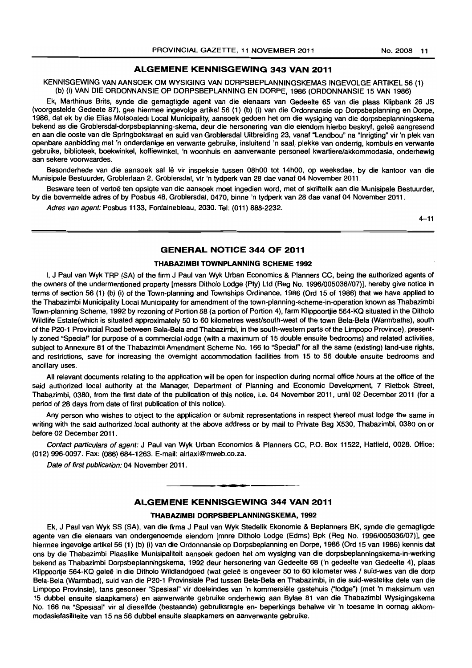# **ALGEMENE KENNISGEWING 343 VAN 2011**

KENNISGEWING VAN AANSOEK OM WYSIGING VAN DORPSBEPLANNINGSKEMAS INGEVOLGE ARTIKEL 56 (1) (b) (i) VAN DIE ORDONNANSIE OP DORPSBEPLANNING EN DORPE, 1986 (ORDONNANSIE 15 VAN 1986)

Ek, Marthinus Brits, synde die gemagtigde agent van die eienaars van Gedeelte 65 van die plaas Klipbank 26 JS (voorgestelde Gedeete 87), gee hiermee ingevolge artikel 56 (1) (b) (i) van die Ordonnansie op Dorpsbeplanning en Dorpe, 1986, dat ek by die Elias Motsoaledi Local Municipality, aansoek gedoen het om die wysiging van die dorpsbeplanningskema bekend as die Groblersdal-dorpsbeplanning-skema, deur die hersonering van die eiendom hierbo beskryf, gelee aangresend en aan die ooste van die Springbokstraat en suid van Groblersdal Uitbreiding 23, vanaf "Landbou" na "Inrigting" vir 'n plek van openbare aanbidding met 'n onderdanige en verwante gebruike, insluitend 'n saal, plekke van onderrig, kombuis en verwante gebruike, biblioteek, boekwinkel, koffiewinkel, 'n woonhuis en aanverwante personeel kwartiere/akkommodasie, onderhewig aan sekere voorwaardes.

Besonderhede van die aansoek sal lê vir inspeksie tussen 08h00 tot 14h00, op weeksdae, by die kantoor van die Munisipale Bestuurder, Groblerlaan 2, Groblersdal, vir 'n tydperk van 28 dae vanaf 04 November 2011.

Besware teen of vertoë ten opsigte van die aansoek moet ingedien word, met of skriftelik aan die Munisipale Bestuurder, by die bovermelde adres of by Posbus 48, Groblersdal, 0470, binne 'n tydperk van 28 dae vanaf 04 November 2011.

Adres van agent: Posbus 1133, Fontainebleau, 2030. Tel: (011) 888-2232.

 $4 - 11$ 

# **GENERAL NOTICE 344 OF 2011**

#### **THABAZIMBI TOWNPLANNING SCHEME 1992**

I, J Paul van Wyk TRP (SA) of the firm J Paul van Wyk Urban Economics & Planners CC, being the authorized agents of the owners of the undermentioned property [messrs Ditholo Lodge (Pty) Ltd (Reg No. 1996/005036//07)], hereby give notice in terms of section 56 (1) (b) (i) of the Town-planning and Townships Ordinance, 1986 (Ord 15 of 1986) that we have applied to the Thabazimbi Municipality Local Municipality for amendment of the town-planning-scheme-in-operation known as Thabazimbi Town-planning Scheme, 1992 by rezoning of Portion 68 (a portion of Portion 4), farm Klippoortjie 564-KQ situated in the Ditholo Wildlife Estate(which is situated approximately 50 to 60 kilometres westlsouth-west of the town Bela-Bela (Warmbaths), south of the P20-1 Provincial Road between Bela-Bela and Thabazimbi, in the south-western parts of the Limpopo Province), presently zoned "Special" for purpose of a commercial lodge (with a maximum of 15 double ensuite bedrooms) and related activities, subject to Annexure 81 of the Thabazimbi Amendment Scheme No. 166 to "Specia'" for all the same (existing) land-use rights. and restrictions, save for increasing the overnight accommodation facilities from 15 to 56 double ensuite bedrooms and ancillary uses.

All relevant documents relating to the application will be open for inspection during normal office hours at the office of the said authorized local authority at the Manager, Department of Planning and Economic Development. 7 Rietbok Street, Thabazimbi, 0380, from the first date of the publication of this notice, i.e. 04 November 2011, until 02 December 2011 (for a period of 28 days from date of first publication of this notice).

Any person who wishes to object to the application or submit representations in respect thereof must lodge the same in writing with the said authorized local authority at the above address or by mail to Private Bag X530, Thabazimbi, 0380 on or before 02 December 2011.

Contact particulars of agent: J Paul van Wyk Urban Economics & Planners CC, P.O. Box 11522, Hatfield, 0028. Office: (012) 996-0097. Fax: (086) 684-1263. E-mail: airtaxi@mweb.co.za.

Date of first publication: 04 November 2011.

# . **-. ALGEMENE KENNISGEWING 344 VAN 2011**

#### **THABAZIMBI DORPSBEPLANNINGSKEMA, 1992**

Ek, J Paul van Wyk SS (SA). van die firma J Paul van Wyk Stedelik Ekonomie & Beplanners BK, synde die gemagtigde agente van die eienaars van ondergenoemde eiendom [mnre Ditholo Lodge (Edms) Bpk (Reg No. 19961005036/07)]. gee hiermee ingevolge artikel 56 (1) (b) (i) van die Ordonnansie op Dorpsbeplanning en Dorpe, 1986 (Ord 15 van 1986) kennis dat ons by die Thabazimbi Plaaslike Munisipaliteit aansoek gedoen het om wysjging van die dorpsbeplanningskema-in-werking bekend as Thabazimbi Dorpsbeplanningskema, 1992 deur hersonering van Gedeelte 68 ('n gedeelte van Gedeelte 4), plaas Klippoortje 564-KQ geleë in die Ditholo Wildlandgoed (wat geleë is ongeveer 50 to 60 kilometer wes / suid-wes van die dorp Bela-Bela (Warmbad). suid van die P20-1 Provinsiale Pad tussen Bela-Bela en Thabazimbi, in die suid-westelike dele van die Limpopo Provinsie), tans gesoneer "Spesiaal" vir doeleindes van 'n kommersiele gastehuis ("lodge") (met 'n maksimum van 15 dubbel ensuite slaapkamers) en aanverwante gebruike onderhewig aan Bylae 81 van die Thabazimbi Wysigingskema No. 166 na "Spesiaal" vir al dieselfde (bestaande) gebruiksregte en- beperkings behalwe vir 'n toesame in oornag akkommodasiefasiliteite van 15 na 56 dubbel ensuite slaapkamers en aanverwante gebruike.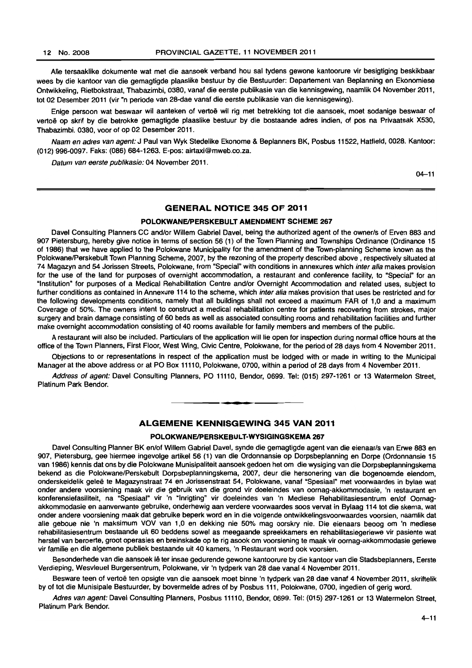Aile tersaaklike dokumente wat met die aansoek verband hou sal tydens gewone kantoorure vir besigtiging beskikbaar wees by die kantoor van die gemagtigde plaaslike bestuur by die Bestuurder: Departement van Beplanning en Ekonomiese Ontwikkeling, Rietbokstraat, Thabazimbi, 0380, vanaf die eerste publikasie van die kennisgewing, naamlik 04 November 2011, tot 02 Desember 2011 (vir"n periode van 28-dae vanaf die eerste publikasie van die kennisgewing).

Enige persoon wat beswaar wil aanteken of vertoë wil rig met betrekking tot die aansoek, moet sodanige beswaar of vertoë op skrif by die betrokke gemagtigde plaaslike bestuur by die bostaande adres indien, of pos na Privaatsak X530, Thabazimbi. 0380, voor of op 02 Desember 2011.

Naam en adres van agent: J Paul van Wyk Stedelike Ekonome & Beplanners BK, Posbus 11522, Hatfield, 0028. Kantoor: (012) 996-0097. Faks: (086) 684-1263. E-pos: airtaxi@mweb.co.za.

Datum van eerste publikasie: 04 November 2011.

04-11

# GENERAL NOTICE 345 OF 2011

## POLOKWANE/PERSKEBULT AMENDMENT SCHEME 267

Davel Consulting Planners CC and/or Willem Gabriel Davel, being the authorized agent of the owner/s of Erven 883 and 907 Pietersburg, hereby give notice in terms of section 56 (1) of the Town Planning and Townships Ordinance (Ordinance 15 of 1986) that we have applied to the Polokwane Municipality for the amendment of the Town-planning Scheme known as the Polokwane/Perskebult Town Planning Scheme, 2007, by the rezoning of the property described above, respectively situated at 74 Magazyn and 54 Jorissen Streets, Polokwane, from "Special" with conditions in annexures which inter alia makes provision for the use of the land for purposes of overnight accommodation, a restaurant and conference facility, to "Special" for an "Institution" for purposes of a Medical Rehabilitation Centre andlor Overnight Accommodation and related uses, subject to further conditions as contained in Annexure 114 to the scheme, which inter alia makes provision that uses be restricted and for the following developments conditions, namely that all buildings shall not exceed a maximum FAR of 1,0 and a maximum Coverage of 50%. The owners intent to construct a medical rehabilitation centre for patients recovering from strokes, major surgery and brain damage consisting of 60 beds as well as associated consulting rooms and rehabilitation facilities and further make overnight accommodation consisting of 40 rooms available for family members and members of the public.

A restaurant will also be included. Particulars of the application will lie open for inspection during normal office hours at the office of the Town Planners, First Floor, West Wing, Civic Centre, Polokwane, for the period of 28 days from 4 November 2011.

Objections to or representations in respect of the application must be lodged with or made in writing to the Municipal Manager at the above address or at PO Box 11110, Polokwane, 0700, within a period of 28 days from 4 November 2011.

Address of agent: Davel Consulting Planners, PO 11110, Bendor, 0699. Tel: (015) 297-1261 or 13 Watermelon Street, Platinum Park Bendor. . **- .** 

# ALGEMENE KENNISGEWING 345 VAN 2011

#### POLOKWANE/PERSKEBULT-WYSIGINGSKEMA 267

Davel Consulting Planner BK en/of Willem Gabriel Davel, synde die gemagtigde agent van die eienaar/s van Erwe 883 en 907, Pietersburg, gee hiermee ingevolge artikel 56 (1) van die Ordonnansie op Dorpsbeplanning en Dorpe (Ordonnansie 15 van 1986) kennis dat ons by die Polokwane Munisipaliteit aansoek gedoen het om die wysiging van die Dorpsbeplanningskema bekend as die Poiokwane/Perskebult Dorpsbeplanningskema, 2007, deur die hersonering van die bogenoemde eiendom, onderskeidelik gelee te Magazynstraat 74 en Jorissenstraat 54, Polokwane, vanaf "Spesiaal" met voorwaardes in bylae wat onder andere voorsiening maak vir die gebruik van die grond vir doeleindes van oornag~akkommodasie, 'n restaurant en konferensiefasiliteit, na "Spesiaal" vir 'n "Inrigting" vir doeleindes van 'n Mediese Rehabilitasiesentrum en/of Oornagakkommodasie en aanverwante gebruike, onderhewig aan verdere voorwaardes soos vervat in Bylaag 114 tot die skema, wat onder andere voorsiening maak dat gebruike beperk word en in die volgende ontwikkelingsvoorwaardes voorsien, naamlik dat aile geboue nie 'n maksimum VOV van 1,0 en dekking nie 50% mag oorskry nie. Die eienaars beoog om 'n mediese rehabilitasiesentrum bestaande uit 60 beddens sowel as meegaande spreekkamers en rehabilitasiegeriewe vir pasiente wat herstel van beroerte, groot operasies en breinskade op te rig asook om voorsjenjng te maak vir oornag-akkommodasie geriewe vir familie en die algemene publiek bestaande uit 40 kamers, 'n Restaurant word ook voorsien.

Besonderhede van die aansoek lê ter insae gedurende gewone kantoorure by die kantoor van die Stadsbeplanners, Eerste Verdieping, Wesvleuel Burgersentrum, Polokwane, vir 'n tydperk van 28 dae vanaf 4 November 2011.

Besware teen of vertoë ten opsigte van die aansoek moet binne 'n tydperk van 28 dae vanaf 4 November 2011, skriftelik by of tot die Munisipale Bestuurder, by bovermelde adres of by Posbus 111, Polokwane, 0700, ingedien of gerig word.

Adres van agent: Davel Consulting Planners, Posbus 11110, Bendor, 0699. Tel: (015) 297-1261 or 13 Watermelon Street, Platinum Park Bendor.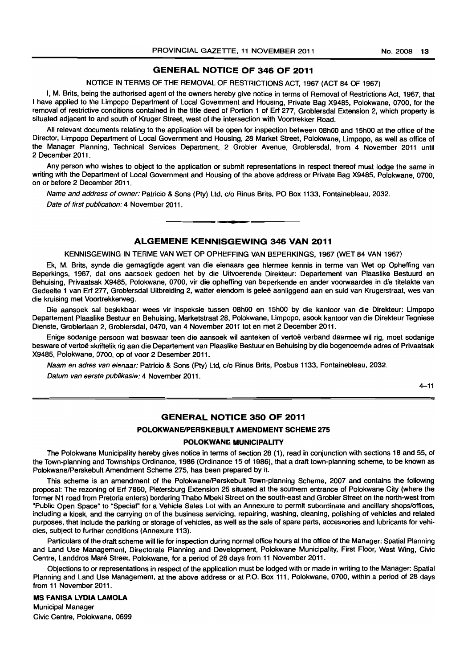# **GENERAL NOTICE OF 346 OF 2011**

NOTICE IN TERMS OF THE REMOVAL OF RESTRICTIONS ACT, 1967 (ACT 84 OF 1967)

I, M. Brits, being the authorised agent of the owners hereby give notice in terms of Removal of Restrictions Act, 1967, that I have applied to the Limpopo Department of Local Government and Housing, Private Bag X9485, Polokwane, 0700, for the removal of restrictive conditions contained in the title deed of Portion 1 of Erf 277, Groblersdal Extension 2, which property is situated adjacent to and south of Kruger Street, west of the intersection with Voortrekker Road.

All relevant documents relating to the application will be open for inspection between 08hOO and 15hoo at the office of the Director, Limpopo Department of Local Government and Housing, 28 Market Street, Polokwane, Limpopo, as well as office of the Manager Planning, Technical Services Department, 2 Grobler Avenue, Groblersdal, from 4 November 2011 until 2 December 2011.

Any person who wishes to object to the application or submit representations in respect thereof must lodge the same in writing with the Department of Local Government and Housing of the above address or Private Bag X9485, Polokwane, 0700, on or before 2 December 2011.

Name and address of owner: Patricio & Sons (Pty) Ltd, c/o Rinus Brits, PO Box 1133, Fontainebleau, 2032. Date of first publication: 4 November 2011. **. -**

# **ALGEMENE KENNISGEWING 346 VAN 2011**

KENNISGEWING IN TERME VAN WET OP OPHEFFING VAN BEPERKINGS, 1967 (WET 84 VAN 1967)

Ek, M. Brits, synde die gemagtigde agent van die eienaars gee hiermee kennis in terme van Wet op Opheffing van Beperkings, 1967, dat ons aansoek gedoen het by die Uitvoerende Direkteur: Departement van Plaaslike Bestuurd en Behuising, Privaatsak X9485, Polokwane, 0700, vir die opheffing van beperkende en ander voorwaardes in die titelakte van Gedeelte 1 van Erf 277, Groblersdal Uitbreiding 2, watter eiendom is gelee aanliggend aan en suid van Krugerstraat, wes van die kruising met Voortrekkerweg.

Die aansoek sal beskikbaar wees vir inspeksie tussen 08h00 en 15h00 by die kantoor van die Direkteur: Limpopo Departement Plaaslike Bestuur en Behuising. Marketstraat 28, Polokwane, Limpopo, asook kantoor van die Direkteur Tegniese Dienste, Groblerlaan 2, Groblersdal, 0470, van 4 November 2011 tot en met 2 December 2011.

Enige sodanige persoon wat beswaar teen die aansoek wil aanteken of vertoë verband daarmee wil rig, moet sodanige besware of vertoe skriftelik rig aan die Departement van Plaaslike Bestuur en Behuising by die bogenoemde adres of Privaatsak X9485, Polokwane, 0700, op of voor 2 Desember 2011.

Naam en adres van eienaar: Patricio & Sons (Pty) Ltd, c/o Rinus Brits, Posbus 1133, Fontainebleau, 2032.

Datum van eerste publikasie: 4 November 2011.

4-11

# **GENERAL NOTICE 350 OF 2011**

### **POLOKWANEIPERSKEBULT AMENDMENT SCHEME 275**

#### **POLOKWANE MUNICIPALITY**

The Polokwane Municipality hereby gives notice in terms of section 28 (1), read in conjunction with sections 18 and 55, of the Town-planning and Townships Ordinance, 1986 (Ordinance 15 of 1986), that a draft town-planning scheme, to be known as Polokwane/Perskebult Amendment Scheme 275, has been prepared by it.

This scheme is an amendment of the Polokwane/Perskebult Town-planning Scheme, 2007 and contains the following proposal: The rezoning of Erf 7860, Pietersburg Extension 25 situated at the southern entrance of Polokwane City (where the former N1 road from Pretoria enters) bordering Thabo Mbeki Street on the south-east and Grobler Street on the north-west from "Public Open Space" to "Special" for a Vehicle Sales Lot with an Annexure to permit subordinate and ancillary shops/offices, including a kiosk, and the carrying on of the business servicing, repairing, washing, cleaning, polishing of vehicles and related purposes, that include the parking or storage of vehicles, as well as the sale of spare parts, accessories and lubricants for vehicles, subject to further conditions (Annexure 113).

Particulars of the draft scheme will lie for inspection during normal office hours at the office of the Manager: Spatial Planning and Land Use Management, Directorate Planning and Development, Polokwane Municipality. First Floor, West Wing, Civic Centre, Landdros Mare Street, Polokwane, for a period of 28 days from 11 November 2011.

Objections to or representations in respect of the application must be lodged with or made in writing to the Manager: Spatial Planning and Land Use Management, at the above address or at P.O. Box 111, Polokwane, 0700, within a period of 28 days from 11 November 2011.

# **MS FANISA LYDIA LAMOLA**  Municipal Manager Civic Centre, Polokwane, 0699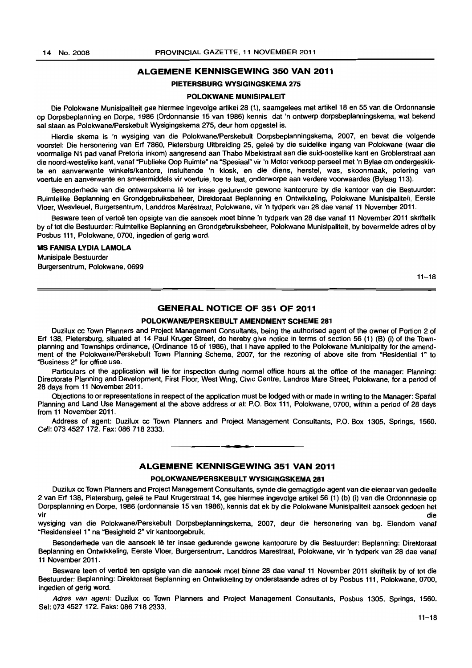#### ALGEMENE KENNISGEWING 350 VAN 2011

## PIETERSBURG WYSIGINGSKEMA 275

#### POLOKWANE MUNISIPALEIT

Die Polokwane Munisipaliteit gee hiermee ingevolge artikel 28 (1), saamgelees met artikel 18 en 55 van die Ordonnansie op Dorpsbeplanning en Darpe, 1986 (Ordonnansie 15 van 19B6) kennis dat 'n ontwerp dorpsbeplanningskema, wat bekend sal staan as PolokwanelPerskebult Wysigingskema 275, deur hom opgestel is.

Hierdie skema is 'n wysiging van die Polokwane/Perskebult Dorpsbeplanningskema, 2007, en bevat die volgende voorstel: Die hersonering van Erf 7860, Pietersburg Uitbreiding 25, gelee by die suidelike ingang van Polokwane (waar die voormalige Nl pad vanaf Pretoria inkom) aangresend aan Thabo Mbekistraat aan die suid-oostelike kant en Groblerstraat aan die noord-westelike kant, vanaf "Publieke Oop Ruimte" na "Spesiaal" vir 'n Motor verkoop perseel met 'n Bylae om ondergeskikte en aanverwante winkelslkantore, insluitende 'n kiosk, en die diens, herstel, was, skoonmaak, polering van voertuie en aanverwante en smeermiddels vir voertuie, toe te laat, onderworpe aan verdere voorwaardes (Bylaag 113).

Besonderhede van die ontwerpskema lê ter insae gedurende gewone kantoorure by die kantoor van die Bestuurder: Ruimtelike Beplanning en Grondgebruiksbeheer, Direktoraat Beplanning en Ontwikkeling, Polokwane Munisipaliteit, Eerste Vloer, Wesvleuel, Burgersentrum, Landdros Marestraat, Polokwane, vir 'n Iydperk van 2B dae vanaf 11 November 2011.

Besware teen of vertoe ten opsigte van die aansoek moet binne 'n Iydperk van 2B dae vanaf 11 November 2011 skriftelik by of tot die Bestuurder: Ruimtelike Beplanning en Grondgebruiksbeheer, Polokwane Munisipaliteit, by bovermelde adres of by Posbus 111, Polokwane, 0700, ingedien of gerig word.

#### MS FANISA LYDIA LAMOLA

Munisipale Bestuurder Burgersentrum, Polokwane, 0699

 $11 - 18$ 

# GENERAL NOTICE OF 351 OF 2011

#### POLOKWANE/PERSKEBULT AMENDMENT SCHEME 281

Duzilux co Town Planners and Project Management Consultants, being the authorised agent of the owner of Portion 2 of Erf 138, Pietersburg, situated at 14 Paul Kruger Street, do hereby give notice in terms of section 56 (1) (B) (i) of the Townplanning and Townships ordinance, (Ordinance 15 of 1986), that I have applied to the Polokwane Municipality for the amendment of the PolokwanelPerskebult Town Planning Scheme, 2007, for the rezoning of above site from "Residential 1" to "Business 2" for office use.

Particulars of the application will lie for inspection during normal office hours at the office of the manager: Planning: Directorate Planning and Development, First Floor, West Wing, Civic Centre, Landros Mare Street, Polokwane, for a period of 28 days from 11 November 2011 .

Objections to or representations in respect of the application must be lodged with or made in writing to the Manager: Spatial Planning and Land Use Management at the above address or at: P.O. Box 111, Polokwane, 0700, within a period of 28 days from 11 November 2011.

Address of agent: Duzilux cc Town Planners and Project Management Consultants, P.O. Box 1305, Springs, 1560. Cell: 0734527172. Fax: OB6 718 2333. **-.** 

# ALGEMENE KENNISGEWING 351 VAN 2011

#### POLOKWANE/PERSKEBULT WYSIGINGSKEMA 281

Duzilux co Town Planners and Project Management Consultants, synde die gemagtigde agent van die eienaar van gedeelte 2 van Erf 138, Pietersburg, gelee te Paul Krugerstraat 14, gee hiermee ingevolge artikel56 (1) (b) (i) van die Ordonnnasie op Dorpsplanning en Dorpe, 1986 (ordonnansie 15 van 1986), kennis dat ek by die Polokwane Munisipaliteit aansoek gedoen het vir die 19de eeu n.C. In die 19de eeu n.C. Soos ander die 19de eeu n.C. Soos ander die 19de eeu n.C. Die 19de

wysiging van die Polokwane/Perskebult Dorpsbeplanningskema, 2007, deur die hersonering van bg. Eiendom vanaf "Residensieel 1" na "Besigheid 2" vir kantoorgebruik.

Besonderhede van die aansoek lê ter insae gedurende gewone kantoorure by die Bestuurder: Beplanning: Direktoraat Beplanning en Ontwikkeling, Eerste Vloer, Burgersentrum, Landdros Marestraat, Polokwane, vir 'n tydperk van 28 dae vanaf 11 November 2011.

Besware teen of vertoë ten opsigte van die aansoek moet binne 28 dae vanaf 11 November 2011 skriftelik by of tot die Bestuurder: Beplanning: Direktoraat Beplanning en Ontwikkeling by onderstaande adres of by Posbus 111, Polokwane, 0700, ingedien of gerig word.

Adres van agent: Duzilux cc Town Planners and Project Management Consultants, Posbus 1305, Springs, 1560. Sel: 073 4527 172. Faks: 086 718 2333.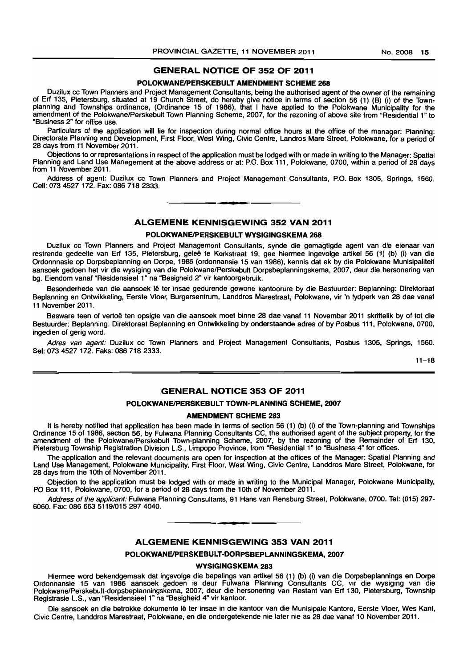# GENERAL NOTICE OF 352 OF 2011

#### POLOKWANE/PERSKEBULT AMENDMENT SCHEME 268

Duzilux cc Town Planners and Project Management Consultants. being the authorised agent of the owner of the remaining of Erf 135, Pietersburg, situated at 19 Church Street. do hereby give notice in terms of section 56 (1) (B) (i) of the Townplanning and Townships ordinance, (Ordinance 15 of 1986), that I have applied to the Polokwane Municipality for the amendment of the Polokwane/Perskebult Town Planning Scheme, 2007, for the rezoning of above site from "Residential 1" to "Business 2" for office use.

Particulars of the application will lie for inspection during normal office hours at the office of the manager: Planning: Directorate Planning and Development, First Floor. West Wing. Civic Centre, Landros Mare Street, Polokwane, for a period of 28 days from 11 November 2011.

Objections to or representations in respect of the application must be lodged with or made in writing to the Manager: Spatial Planning and Land Use Management at the above address or at: P.O. Box 111, Polokwane, 0700, within a period of 28 days from 11 November 2011.

Address of agent: Duzilux cc Town Planners and Project Management Consultants, P.O. Box 1305, Springs, 1560. Cell: 073 4527172. Fax: 086 718 2333. . **\_.** 

# ALGEMENE KENNISGEWING 352 VAN 2011

#### POLOKWANE/PERSKEBULT WYSIGINGSKEMA 268

Duzilux cc Town Planners and Project Management Consultants, synde die gemagtigde agent van die eienaar van restrende gedeelte van Erf 135, Pietersburg, geleë te Kerkstraat 19, gee hiermee ingevolge artikel 56 (1) (b) (i) van die Ordonnnasie op Dorpsbeplanning en Dorpe, 1986 (ordonnansie 15 van 1986), kennis dat ek by die Polokwane Munisipaliteit aansoek gedoen het vir die wysiging van die Polokwane/Perskebult Dorpsbeplanningskema, 2007, deur die hersonering van bg. Eiendom vanaf "Residensieel 1" na "Besigheid 2" vir kantoorgebruik.

Besonderhede van die aansoek lê ter insae gedurende gewone kantoorure by die Bestuurder: Beplanning: Direktoraat Beplanning en Ontwikkeling, Eerste Vloer, Burgersentrum, Landdros Marestraat, Polokwane, vir 'n tydperk van 28 dae vanaf 11 November 2011.

Besware teen of vertoë ten opsigte van die aansoek moet binne 28 dae vanaf 11 November 2011 skriftelik by of tot die Bestuurder: Beplanning: Direktoraat Beplanning en Ontwikkeling by onderstaande adres of by Posbus 111, Polokwane, 0700. ingedien of gerig word.

Adres van agent: Duzilux cc Town Planners and Project Management Consultants, Posbus 1305, Springs, 1560. Sel: 073 4527 172. Faks: 086 718 2333.

 $11 - 18$ 

# GENERAL NOTICE 353 OF 2011

#### POLOKWANE/PERSKEBULT TOWN-PLANNING SCHEME, 2007

## AMENDMENT SCHEME 283

It is hereby notified that application has been made in terms of section 56 (1) (b) (i) of the Town-planning and Townships Ordinance 15 of 1986. section 56, by Fulwana Planning Consultants CC, the authorised agent of the subject property, for the amendment of the PolokwanelPerskebult Town-planning Scheme, 2007, by the rezoning of the Remainder of Erf 130, Pietersburg Township Registration Division L.S., Limpopo Province, from "Residential 1" to "Business 4" for offices.

The application and the relevant documents are open for inspection at the offices of the Manager: Spatial Planning and Land Use Management, Polokwane Municipality, First Floor, West Wing, Civic Centre, Landdros Mare Street, Polokwane, for 28 days from the 10th of November 2011.

Objection to the application must be lodged with or made in writing to the Municipal Manager, Polokwane Municipality, PO Box 111, Polokwane, 0700, for a period of 28 days from the 10th of November 2011.

Address of the applicant: Fulwana Planning Consultants, 91 Hans van Rensburg Street, Polokwane, 0700. Tel: (015) 297- 6060. Fax: 086 663 5119/015 297 4040.

#### ALGEMENE KENNISGEWING 353 VAN 2011

**• I** 

# POLOKWANEIPERSKEBULT-DORPSBEPLANNINGSKEMA, 2007

WYSIGINGSKEMA 283

Hiermee word bekendgamaak dat ingevolge die bepalings van artikel 56 (1) (b) (i) van die Dorpsbeplannings en Darpa Ordonnansie 15 van 1986 aansoek gedoen is deur Fulwana Planning Consultants CC, vir die wysiging van die Polokwane/Perskebult-dorpsbeplanningskema, 2007, deur die hersonering van Restant van Erf 130, Pietersburg, Township Registrasie L.S., van "Residensieel 1" na "Besigheid 4" vir kantoor.

Die aansoek en die betrokke dokumente lê ter insae in die kantoor van die Munisipale Kantore, Eerste Vloer, Wes Kant, Civic Centre, Landdros Marestraat. Polokwane, en die ondergetekende nie later nie as 28 dae vanaf 10 November 2011.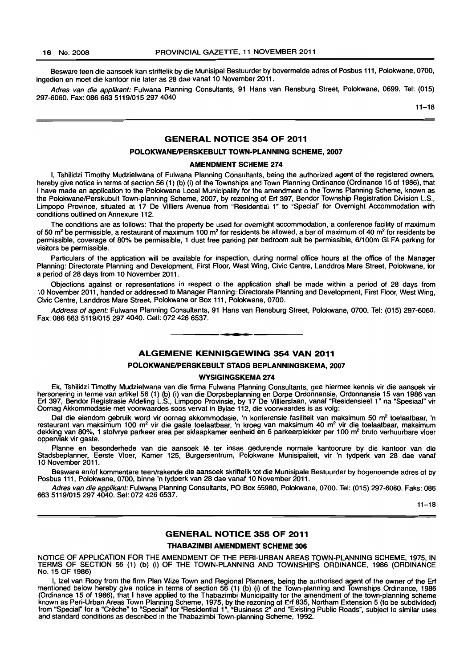Besware teen die aansoek kan striftelik by die Munisipal Bestuurder by bovermelde adres of Posbus 111, Polokwane, 0700, ingedien en moet die kantoor nie later as 28 dae vanaf 10 November 2011.

Adres van die applikant: Fulwana Planning Consultants, 91 Hans van Rensburg Street, Polokwane, 0699. Tel: (015) 297-6060. Fax: 086 663 5119/015 2974040.

 $11 - 18$ 

# GENERAL NOTICE 354 OF 2011

#### POLOKWANE/PERSKEBULT TOWN-PLANNING SCHEME, 2007

#### AMENDMENT SCHEME 274

I, Tshilidzi Timothy Mudzielwana of Fulwana Planning Consultants, being the authorized agent of the registered owners, hereby give notice in terms of section 56 (1) (b) (i) of the Townships and Town Planning Ordinance (Ordinance 15 of 1986), that I have made an application to the Polokwane Local Municipality for the amendment 0 the Towns Planning Scheme, known as the Polokwane/Perskubult Town-planning Scheme, 2007, by rezoning of Erf 397, Bendor Township Registration Division L.S., Limpopo Province, situated at 17 De Villiers Avenue from "Residential 1" to "Special" for Overnight Accommodation with conditions outlined on Annexure 112.

The conditions are as follows: That the property be used for overnight accommodation, a conference facility of maximum of 50  $m<sup>2</sup>$  be permissible, a restaurant of maximum 100  $m<sup>2</sup>$  for residents be allowed, a bar of maximum of 40  $m<sup>2</sup>$  for residents be permissible, coverage of 80% be permissible, 1 dust free parking per bedroom suit be permissible, 6/100m GLFA parking for visitors be permissible.

Particulars of the application will be available for inspection, during normal office hours at the office of the Manager Planning: Directorate Planning and Development, First Floor, West Wing, Civic Centre, Landdros Mare Street, Polokwane, for a period of 28 days from 10 November 2011.

Objections against or representations in respect 0 the application shalt be made within a period of 28 days from 10 November 2011, handed or addressed to Manager Planning: Directorate Planning and Development, First Floor, West Wing, Civic Centre, Landdros Mare Street, Polokwane or Box 111, Polokwane, 0700.

Address of agent: Fulwana Planning Consultants, 91 Hans van Rensburg Street, Polokwane, 0700. Tel: (015) 297-6060. Fax: 086 663 5119/015 297 4040. Cell: 072 426 6537. . **- .** 

## ALGEMENE KENNISGEWING 354 VAN 2011

#### POLOKWANE/PERSKEBULT STADS BEPLANNINGSKEMA, 2007

#### WYSIGINGSKEMA 274

Ek, Tshilidzi Timothy Mudzielwana van die firma Fulwana Planning Consultants, gee hiermee kennis vir die aansoek vir hersonering in terme van artikel56 (1) (b) (i) van die Dorpsbeplanning en Dorpe Ordonnansie, Ordonnansie 15 van 1986 van Erf 397, Bendor Registrasie Afdeling L.S., Limpopo Provinsie, by 17 De Villierslaan, vanaf "Residensieel 1" na "Spesiaal" vir Oomag Akkommodasie met voorwaardes soos vervat in Bylae 112, die voorwaardes is as volg:

Dat die eiendom gebruik word vir oornag akkommodasie, 'n konferensie fasiliteit van maksimum 50 m<sup>2</sup> toelaatbaar, 'n restaurant van maksimum 100 m<sup>2</sup> vir die gaste toelaatbaar, 'n kroeg van maksimum 40 m<sup>2</sup> vir die toelaatbaar, maksimum dekking van 80%, 1 stofvrye parkeer area per sklaapkamer eenheid en 6 parkeerplekker per 100 m<sup>2</sup> bruto verhuurbare vloer oppervlak vir gaste.

Planne en besonderhede van die aansoek Iê ter insae gedurende normale kantoorure by die kantoor van die Stadsbeplanner, Eerste Vloer, Kamer 125, Burgersentrum, Polokwane Munisipalieit, vir 'n tydperk van 28 dae vanaf 10 November 2011.

Besware en/of kommentare teen/rakende die aansoek skriftelik tot die Munisipale Bestuurder by bogenoemde adres of by Posbus 111, Polokwane, 0700, binne 'n tydperk van 28 dae vanaf 10 November 2011.

Adres van die applikant: Fulwana Planning Consultants, PO Box 55980, Polokwane, 0700. Tel: (015) 297-6060. Faks: 086 6635119/0152974040. Sel: 072 426 6537.

 $11 - 18$ 

# GENERAL NOTICE 355 OF 2011

# THABAZIMBI AMENDMENT SCHEME 306

NOTICE OF APPLICATION FOR THE AMENDMENT OF THE PERI-URBAN AREAS TOWN-PLANNING SCHEME, 1975, IN TERMS OF SECTION 56 (1) (b) (i) OF THE TOWN-PLANNING AND TOWNSHIPS ORDINANCE, 1986 (ORDINANCE No. 15 OF 1986)

I, Izel van Rooy from the firm Plan Wize Town and Regional Planners, being the authorised agent of the owner of the Erf mentioned below hereby give notice in terms of section 56 (1) (b) (i) of the Town-planning and Townships Ordinance, 1986 (Ordinance 15 of 1986), that I have applied to the Thabazimbi Municipality for the amendment of the town-planning scheme known as Peri-Urban Areas Town Planning Scheme, 1975, by the rezoning of Erf 835, Northam Extension 5 (to be subdivided) from "Special" for a "Crèche" to "Special" for "Residential 1", "Business 2" and "Existing Public Roads", subject to similar uses and standard conditions as described in the Thabazimbi Town-planning Scheme, 1992.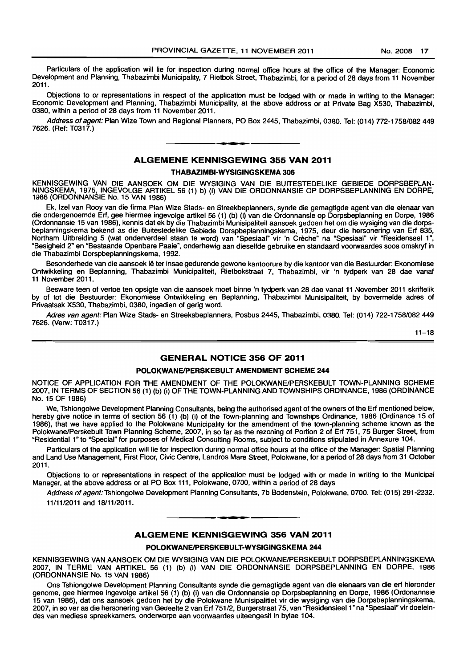Particulars of the application will lie for inspection during normal office hours at the office of the Manager: Economic Development and Planning, Thabazimbi Municipality, 7 Rietbok Street, Thabazimbi, for a period of 28 days from 11 November 2011.

Objections to or representations in respect of the application must be lodged with or made in writing to the Manager: Economic Development and Planning, Thabazimbi Municipality, at the above address or at Private Bag X530, Thabazimbi, 0380, within a period of 28 days from 11 November 2011.

Address of agent: Plan Wize Town and Regional Planners, PO Box 2445, Thabazimbi, 0380. Tel: (014) 772-1758/082449 7626. (Ref: T0317.)

# • **- I**  ALGEMENE KENNISGEWING 355 VAN 2011

## THABAZIMBI-WYSIGINGSKEMA 306

KENNISGEWING VAN DIE AANSOEK OM DIE WYSIGING VAN DIE BUITESTEDELIKE GEBIEDE DORPSBEPLAN-NINGSKEMA, 1975, INGEVOLGE ARTIKEL 56 (1) b) (i) VAN DIE ORDONNANSIE OP DORPSBEPLANNING EN DORPE, 1986 (ORDONNANSIE No. 15 VAN 1986)

Ek, Izel van Rooy van die firma Plan Wize Stads- en Streekbeplanners, synde die gemagtigde agent van die eienaar van die ondergenoemde Erf, gee hiermee ingevolge artikel 56 (1) (b) (i) van die Ordonnansie op Dorpsbeplanning en Dorpe, 1986 (Ordonnansie 15 van 1986), kennis dat ek by die Thabazimbi Munisipaliteit aansoek gedoen het om die wysiging van die dorpsbeplanningskema bekend as die Buitestedelike Gebiede Dorspbeplanningskema, 1975, deur die hersonering van Ert 835, Northam Uitbreiding 5 (wat onderverdeel staan te word) van "Spesiaal" vir 'n Creche" na "Spesiaal" vir "Residenseel 1", "Besigheid 2" en "Bestaande Openbare Paaie", onderhewig aan dieselfde gebruike en standaard voorwaardes soos omskryf in die Thabazimbi Dorspbeplanningskema, 1992.

Besonderhede van die aansoek lê ter insae gedurende gewone kantoorure by die kantoor van die Bestuurder: Ekonomiese Ontwikkeling en Beplanning, Thabazimbi Municipaliteit, Rietbokstraat 7, Thabazimbi, vir 'n tydperk van 28 dae vanaf 11 November 2011.

Besware teen of vertoe ten opsigte van die aansoek moet binne 'n tydperk van 28 dae vanaf 11 November 2011 skriftelik by of tot die Bestuurder: Ekonomiese Ontwikkeling en Beplanning, Thabazimbi Munisipaliteit, by bovermelde adres of Privaatsak X530, Thabazimbi, 0380, ingedien of gerig word.

Adres van agent: Plan Wize Stads- en Streeksbeplanners, Posbus 2445, Thabazimbi, 0380. Tel: (014) 722·1758/082449 7626. (Verw: T0317.)

11-18

# GENERAL NOTICE 356 OF 2011

#### POLOKWANE/PERSKEBULT AMENDMENT SCHEME 244

NOTICE OF APPLICATION FOR THE AMENDMENT OF THE POLOKWANE/PERSKEBULT TOWN-PLANNING SCHEME 2007, IN TERMS OF SECTION 56 (1) (b) (i) OF THE TOWN-PLANNING AND TOWNSHIPS ORDINANCE, 1986 (ORDINANCE No. 15 OF 1986)

We, Tshiongolwe Development Planning Consultants, being the authorised agent of the owners of the Ert mentioned below, hereby give notice in terms of section 56 (1) (b) (i) of the Town-planning and Townships Ordinance, 1986 (Ordinance 15 of 1986), that we have applied to the Polokwane Municipality for the amendment of the town-planning scheme known as the Polokwane/Perskebult Town Planning Scheme, 2007, in so far as the rezoning of Portion 2 of Ert 751, 75 Burger Street, from "Residential 1" to "Special" for purposes of Medical Consulting Rooms, subject to conditions stipulated in Annexure 104.

Particulars of the application will lie for inspection during normal office hours at the office of the Manager: Spatial Planning and Land Use Management, First Floor, Civic Centre, Landros Mare Street, Polokwane, for a period of 28 days from 31 October 2011.

Objections to or representations in respect of the application must be lodged with or made in writing to the Municipal Manager, at the above address or at PO Box 111, Polokwane, 0700, within a period of 28 days

Address of agent: Tshiongolwe Development Planning Consultants, 7b Bodenstein, Polokwane, 0700. Tel: (015) 291-2232. 11/11/2011 and 18/1112011.

# ALGEMENE KENNISGEWING 356 VAN 2011

**. -**

# POLOKWANE/PERSKEBULT-WYSIGINGSKEMA 244

KENNISGEWING VAN AANSOEK OM DIE WYSIGING VAN DIE POLOKWANEIPERSKEBULT DORPSBEPLANNINGSKEMA 2007, IN TERME VAN ARTIKEL 56 (1) (b) (i) VAN DIE ORDONNANSIE DORPSBEPLANNING EN DORPE, 1986 (ORDONNANSIE No. 15 VAN 1986)

Ons Tshiongolwe Development Planning Consultants synde die gemagtigde agent van die eienaars van die ert hieronder genome, gee hiermee ingevolge artikel 56 (1) (b) (i) van die Ordonnansie op Dorpsbeplanning en Dorpe, 1986 (Ordonannsie 15 van 1986), dal ons aansoek gedoen het by die Polokwane Munisipalitiet vir die wysiging van die Dorpsbeplanningskema, 2007, in so ver as die hersonering van Gedeelte 2 van Ert 751/2, Burgerstraat 75, van "ResidensieeI1" na "Spesiaal" vir doeleindes van mediese spreekkamers, onderworpe aan voorwaardes uiteengesit in bylae 104.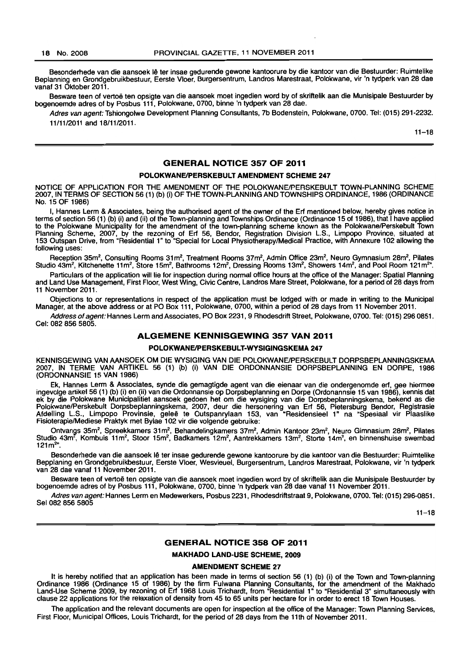Besonderhede van die aansoek lê ter insae gedurende gewone kantoorure by die kantoor van die Bestuurder: Ruimtelike Beplanning en Grondgebruikbestuur, Eerste Vloer, Burgersentrum, Landros Marestraat, Polokwane, vir 'n tydperk van 28 dae vanaf 31 Oktober 2011.

Besware teen of vertoë ten opsigte van die aansoek moet ingedien word by of skriftelik aan die Munisipale Bestuurder by bogenoemde adres of by Posbus 111, Polokwane, 0700, binne 'n tydperk van 28 dae.

Adres van agent: Tshiongolwe Development Planning Consultants, 7b Bodenstein, Polokwane, 0700. Tel: (015) 291-2232. 1111112011 and 18111/2011.

 $11 - 18$ 

#### GENERAL NOTICE 357 OF 2011

#### POLOKWANE/PERSKEBULT AMENDMENT SCHEME 247

NOTICE OF APPLICATION FOR THE AMENDMENT OF THE POLOKWANE/PERSKEBULT TOWN-PLANNING SCHEME 2007, IN TERMS OF SECTION 56 (1) (b) (i) OF THE TOWN-PLANNING AND TOWNSHIPS ORDINANCE, 1986 (ORDINANCE No. 15 OF 1986)

I, Hannes Lerm & Associates, being the authorised agent of the owner of the Erf mentioned below, hereby gives notice in terms of section 56 (1) (b) (i) and (ii) of the Town-planning and Townships Ordinance (Ordinance 15 of 1986), that I have applied to the Polokwane Municipality for the amendment of the town-planning scheme known as the PolokwanelPerskebult Town Planning Scheme, 2007, by the rezoning of Erf 56, Bendor, Registration Division L.S., Limpopo Province, situated at 153 Outspan Drive, from "Residential 1" to "Special for Local PhysiotherapylMedical Practice, with Annexure 102 allowing the following uses:

Reception 35m<sup>2</sup>, Consulting Rooms 31m<sup>2</sup>, Treatment Rooms 37m<sup>2</sup>, Admin Office 23m<sup>2</sup>, Neuro Gymnasium 28m<sup>2</sup>, Pilates Studio 43m<sup>2</sup>, Kitchenette 11m<sup>2</sup>, Store 15m<sup>2</sup>, Bathrooms 12m<sup>2</sup>, Dressing Rooms 13m<sup>2</sup>, Showers 14m<sup>2</sup>, and Pool Room 121m<sup>2</sup>".

Particulars of the application will lie for inspection during normal office hours at the office of the Manager: Spatial Planning and Land Use Management, First Floor, West Wing, Civic Centre, Landros Mare Street, Polokwane, for a period of 28 days from 11 November 2011.

Obiections to or representations in respect of the application must be lodged with or made in writing to the Municipal Manager, at the above address or at PO Box 111, Polokwane, 0700, within a period of 28 days from 11 November 2011.

Address of agent: Hannes Lerm and Associates, PO Box 2231, 9 Rhodesdrift Street, Polokwane, 0700. Tel: (015) 296 0851. Cel: 082 856 5805.

## ALGEMENE KENNISGEWING 357 VAN 2011

#### POLOKWANE/PERSKEBULT-WYSIGINGSKEMA 247

KENNISGEWING VAN AANSOEK OM DIE WYSIGING VAN DIE POLOKWANEIPERSKEBULT DORPSBEPLANNINGSKEMA 2007, IN TERME VAN ARTIKEL 56 (1) (b) (i) VAN DIE ORDONNANSIE DORPSBEPLANNING EN DORPE, 1986 (ORDONNANSIE 15 VAN 1986)

Ek, Hannes Lerm & Associates, synde die gemagtigde agent van die eienaar van die ondergenomde erf, gee hiermee ingevolge artikel 56 (1) (b) (i) en (ii) van die Ordonnansie op Dorpsbeplanning en Dorpe (Ordonannsie 15 van 1986), kennis dat ek by die Polokwane Municipalitiet aansoek gedoen het om die wysiging van die Dorpsbeplanningskema, bekend as die PolokwanelPerskebult Dorpsbeplanningskema, 2007, deur die hersonering van Erf 56, Pietersburg Bendor, Registrasie Afdelling L.S., Limpopo Provinsie, gelee te Outspanrylaan 153, van "Residensieel 1" na "Spesiaal vir Plaaslike Fisiaterapie/Mediese Praktyk met Bylae 102 vir die valgende gebruike:

Ontvangs 35m<sup>2</sup>, Spreekkamers 31m<sup>2</sup>, Behandelingkamers 37m<sup>2</sup>, Admin Kantoor 23m<sup>2</sup>, Neuro Gimnasium 28m<sup>2</sup>, Pilates Studio 43m<sup>2</sup>, Kombuis 11m<sup>2</sup>, Stoor 15m<sup>2</sup>, Badkamers 12m<sup>2</sup>, Aantrekkamers 13m<sup>2</sup>, Storte 14m<sup>2</sup>, en binnenshuise swembad  $121m^{2n}$ .

Besonderhede van die aansoek lê ter insae gedurende gewone kantoorure by die kantoor van die Bestuurder: Ruimtelike Bepplaning en Grondgebruikbestuur, Eerste Vloer, Wesvleuel, Burgersentrum, Landros Marestraat, Polokwane, vir 'n tydperk van 28 dae vanaf 11 November 2011.

Besware teen of vertoe ten opsigte van die aansoek moet ingedien word by of skriftelik aan die Munisipale Bestuurder by bogenoemde adres of by Posbus 111, Polokwane, 0700, binne 'n tydperk van 28 dae vanaf 11 November 2011.

Adres van agent: Hannes Lerm en Medewerkers, Posbus 2231, Rhodesdriftstraat 9, Polokwane, 0700. Tel: (015) 296-0851. Sel 082 856 5805

 $11 - 18$ 

# GENERAL NOTICE 358 OF 2011

#### MAKHADO LAND-USE SCHEME, 2009

AMENDMENT SCHEME 27

It is hereby notified that an application has been made in terms of section 56 (1) (b) (i) of the Town and Town-planning Ordinance 1986 (Ordinance 15 of 1986) by the firm Fulwana Planning Consultants, for the amendment of the Makhado Land-Use Scheme 2009, by rezoning of Erf 1968 Louis Trichardt, from "Residential 1" to "Residential 3" simultaneously with clause 22 applications for the relaxation of density from 45 to 65 units per hectare for in order to erect 18 Town Houses.

The application and the relevant documents are open for inspection at the office of the Manager: Town Planning Services, First Floor, Municipal Offices, Louis Trichardt, for the period of 28 days from the 11th of November 2011.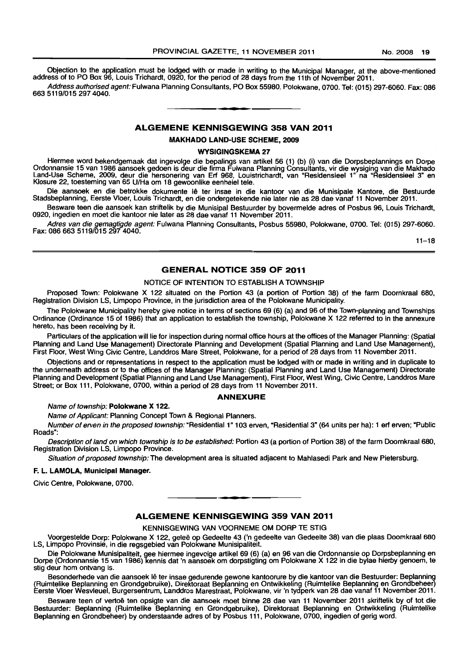Objection to the application must be lodged with or made in writing to the Municipal Manager, at the above-mentioned address of to PO Box 96, Louis Trichardt, 0920, for the period of 28 days from the 11th of November 2011.

Address authorised agent: Fulwana Planning Consultants, PO Box 55980, Polokwane, 0700. Tel: (015) 297-6060. Fax: 086 6635119/0152974040. **1\_,** 

## ALGEMENE KENNISGEWING 358 VAN 2011

MAKHADO LAND-USE SCHEME, 2009

#### WYSIGINGSKEMA 27

Hiermee word bekendgemaak dat ingevolge die bepalings van artikel 56 (1) (b) (i) van die Dorpsbeplannings en Dorpe Ordonnansie 15 van 1986 aansoek gedoen is deur die firma Fulwana Planning Consultants, vir die wysiging van die Makhado Land-Use Scheme, 2009, deur die hersonering van Ert 968, Louistrichardt, van "Residensieel 1" na "Residensieel 3" en Klosure 22, toesteming van 65 UlHa om 18 gewoonlike eenheiel tele.

Die aansoek en die betrokke dokumente lê ter insae in die kantoor van die Munisipale Kantore, die Bestuurde Stadsbeplanning, Eerste Vloer, Louis Trichardt, en die ondergetekende nie later nie as 28 dae vanaf 11 November 2011.

Besware teen die aansoek kan striftelik by die Munisipal Bestuurder by bovermelde adres of Posbus 96, Louis Trichardt. 0920, ingedien en moet die kantoor nie later as 28 dae vanaf 11 November 2011.

Adres van die gemagtigde agent: Fulwana Planning Consultants, Posbus 55980, Polokwane, 0700. Tel: (015) 297-6060. Fax: 086 663 5119/015 297 4040.

 $11 - 18$ 

#### GENERAL NOTICE 359 OF 2011

## NOTICE OF INTENTION TO ESTABLISH A TOWNSHIP

Proposed Town: Polokwane X 122 situated on the Portion 43 (a portion of Portion 38) of the farm Doornkraal 680, Registration Division LS, Limpopo Province, in the jurisdiction area of the Polokwane Municipality.

The Polokwane Municipality hereby give notice in terms of sections 69 (6) (a) and 96 of the Town-planning and Townships Ordinance (Ordinance 15 of 1986) that an application to establish the township, Polokwane X 122 referred to in the annexure hereto, has been receiving by it.

Particulars of the application will lie for inspection during normal office hours at the offices of the Manager Planning: (Spatial Planning and Land Use Management) Directorate Planning and Development (Spatial Planning and Land Use Management), First Floor, West Wing Civic Centre, Landdros Mare Street, Polokwane, for a period of 28 days from 11 November 2011.

Objections and or representations in respect to the application must be lodged with or made in writing and in duplicate to the underneath address or to the offices of the Manager Planning: (Spatial Planning and Land Use Management) Directorate Planning and Development (Spatial Planning and Land Use Management). First Floor, West Wing, Civic Centre, Landdros Mare Street; or Box 111, Polokwane, 0700, within a period of 28 days from 11 November 2011.

#### ANNEXURE

Name of township: Polokwane X 122.

Name of Applicant: Planning Concept Town & Regional Planners.

Number of erven in the proposed township: "Residential 1" 103 erven, "Residential 3" (64 units per ha): 1 ert erven; "Public Roads":

Description of land on which township is to be established: Portion 43 (a portion of Portion 38) of the farm Doornkraal 680, Registration Division LS, Limpopo Province.

Situation of proposed township: The development area is situated adjacent to Mahlasedi Park and New Pietersburg.

#### F. L. LAMOLA, Municipal Manager.

Civic Centre, Polokwane, 0700.

# ALGEMENE KENNISGEWING 359 VAN 2011

**I •** 

KENNISGEWING VAN VOORNEME OM DORP TE STIG

Voorgestelde Dorp: Polokwane X 122, geleë op Gedeelte 43 ('n gedeelte van Gedeelte 38) van die plaas Doomkraal 680 LS, Limpopo Provinsie, in die regsgebied van Polokwane Munisipaliteit.

Die Polokwane Munisipaliteit, gee hiermee ingevolge artikel 69 (6) (a) en 96 van die Ordonnansie op Dorpsbeplanning en Dorpe (Ordonnansie 15 van 1986) kennis dat 'n aansoek om dorpstigting om Polokwane X 122 in die bylae hierby genoem, te stig deur hom ontvang is.

Besonderhede van die aansoek lê ter insae gedurende gewone kantoorure by die kantoor van die Bestuurder: Beplanning (Ruimtelike Beplanning en Grondgebruike), Direktoraat Beplanning en Ontwikkeling (Ruimtelike Beplanning en Grondbeheer) Eersle Vloer Wesvleuel, Burgersentrum, landdros Marestraat, Polokwane, vir 'n tydperk van 28 dae vanaf 11 November 2011.

Besware teen of vertoë ten opsigte van die aansoek moet binne 28 dae van 11 November 2011 skriftelik by of tot die Bestuurder: Beplanning (Ruimtelike Beplanning en Grondgebruike), Direktoraat Beplanning en Ontwikkeling (Ruimtelike Beplanning en Grondbeheer) by onderstaande adres of by Posbus 111, Polokwane, 0700, ingedien of gerig word.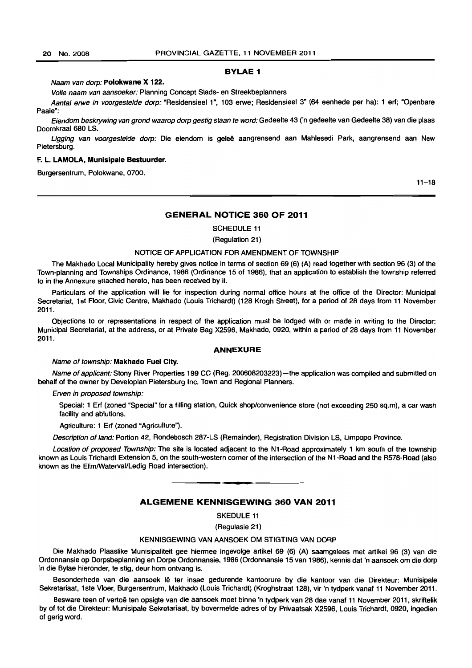#### BYLAE 1

#### Naam van dorp: Polokwane X 122.

Volle naam van aansoeker: Planning Concept Stads- en Streekbeplanners

Aantal erwe in voorgestelde dorp: "Residensieel 1", 103 erwe; Residensieel 3" (64 eenhede per ha): 1 erf; "Openbare Paaie":

Eiendom beskrywing van grond waarop dorp gestig staan te word: Gedeelte 43 ('n gedeelte van Gedeelte 38) van die plaas Doornkraal 680 LS.

Ligging van voorgestelde dorp: Die eiendom is geleë aangrensend aan Mahlesedi Park, aangrensend aan New Pietersburg.

#### F. L. LAMOLA, Munisipale 8estuurder.

Burgersentrum, Polokwane, 0700.

 $11 - 18$ 

# GENERAL NOTICE 360 OF 2011

SCHEDULE 11

(Regulation 21)

#### NOTICE OF APPLICATION FOR AMENDMENT OF TOWNSHIP

The Makhado Local Municipality hereby gives notice in terms of section 69 (6) (A) read together with section 96 (3) of the Town-planning and Townships Ordinance, 1986 (Ordinance 15 of 1986), that an application to establish the township referred to in the Annexure attached hereto, has been received by it.

Particulars of the application will lie for inspection during normal office hours at the office of the Director: Municipal Secretariat, 1st Floor, Civic Centre, Makhado (Louis Trichardt) (128 Krogh Street), for a period of 28 days from 11 November 2011.

Objections to or representations in respect of the application must be lodged with or made in writing to the Director: Municipal Secretariat, at the address, or at Private Bag X2596, Makhado, 0920, within a period of 28 days from 11 November 2011.

#### ANNEXURE

#### Name of township: Makhado Fuel City.

Name of applicant: Stony River Properties 199 CC (Reg. 200608203223)-the application was compiled and submitted on behalf of the owner by Developlan Pietersburg Inc. Town and Regional Planners.

#### Erven in proposed township:

Special: 1 Erf (zoned "Special" for a filling station, Quick shop/convenience store (not exceeding 250 sq.m), a car wash facility and ablutions.

Agriculture: 1 Erf (zoned "Agriculture").

Description of land: Portion 42, Rondebosch 287-LS (Remainder), Registration Division LS, Limpopo Province.

Location of proposed Township: The site is located adjacent to the N1-Road approximately 1 km south of the township known as Louis Trichardt Extension 5, on the south-western corner of the intersection of the N1·Road and the R578-Road (also known as the Elim/Waterval/Ledig Road intersection).

# ALGEMENE KENNISGEWING 360 VAN 2011

**•** 

SKEDULE 11

(Regulasie 21)

#### KENNISGEWING VAN AANSOEK OM STIGTING VAN DORP

Die Makhado Plaaslike Munisipaliteit gee hiermee ingevolge artikel 69 (6) (A) saamgelees met artikel 96 (3) van die Ordonnansie op Dorpsbeplanning en Dorpe Ordonnansie, 1986 (Ordonnansie 15 van 1986), kennis dal 'n aansoek om die dorp in die Bylae hieronder, te stig, deur hom ontvang is.

Besonderhede van die aansoek lê ter insae gedurende kantoorure by die kantoor van die Direkteur: Munisipale Sekretariaat, 1 ste Vloer, Burgersentrum, Makhado (Louis Trichardt) (Kroghstraat 128), vir 'n tydperk vanaf 11 November 2011.

Besware teen of vertoë ten opsigte van die aansoek moet binne 'n tydperk van 28 dae vanaf 11 November 2011, skriftelik by of tot die Direkteur: Munisipale Sekretariaat. by bovermelde adres of by Privaatsak X2596. Louis Trichardt, 0920, ingedien of gerig word.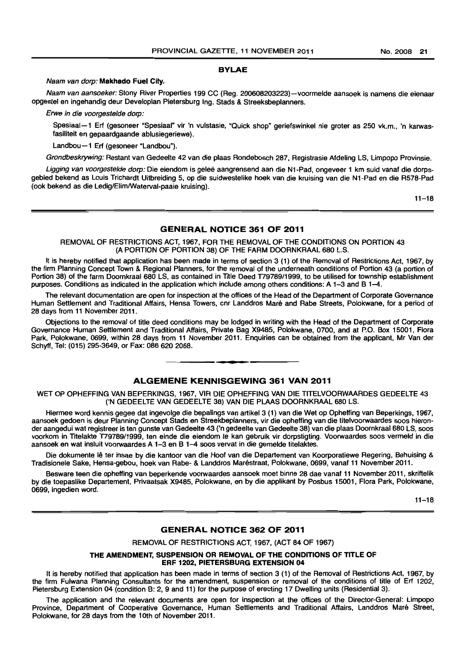#### BYLAE

#### Naam van dorp: Makhado Fuel City.

Naam van aansoeker: Stony River Properties 199 CC (Reg. 200608203223)-voormelde aansoek is namens die eienaar opgestel en ingehandig deur Developlan Pietersburg Ing. Stads & Streeksbeplanners.

Erwe in die voorgestelde dorp:

Spesiaal-1 Erf (gesoneer "Spesiaal" vir 'n vulstasie, "Quick shop" geriefswinkel nie groter as 250 vk.m., 'n karwasfasiliteit en gepaardgaande ablusiegeriewe).

Landbou-1 Erf (gesoneer "Landbou").

Grondbeskrywing: Restant van Gedeelte 42 van die plaas Rondebosch 287, Registrasie Afdeling LS, Limpopo Provinsie.

Ligging van voorgestelde dorp: Die eiendom is geleë aangrensend aan die N1-Pad, ongeveer 1 km suid vanaf die dorpsgebied bekend as Louis Trichardt Uitbreiding 5, op die suidwestelike hoek van die kruising van die N1-Pad en die R578-Pad (ook bekend as die Ledig/Elim/Waterval-paaie kruising).

 $11 - 18$ 

#### GENERAL NOTICE 361 OF 2011

REMOVAL OF RESTRICTIONS ACT, 1967, FOR THE REMOVAL OF THE CONDITIONS ON PORTION 43 (A PORTION OF PORTION 38) OF THE FARM DOORNKRAAL 680 L.S.

It is hereby notified that application has been made in terms of section 3 (1) of the Removal of Restrictions Act, 1967, by the firm Planning Concept Town & Regional Planners, for the removal of the underneath conditions of Portion 43 (a portion of Portion 38) of the farm Doornkraal 680 LS, as contained in Title Deed T79789/1999, to be utilised for township establishment purposes. Conditions as indicated in the application which include among others conditions: A 1-3 and B 1-4.

The relevant documentation are open for inspection at the offices of the Head of the Department of Corporate Governance Human Settlement and Traditional Affairs, Hensa Towers, cm Landdros Mare and Rabe Streets, Polokwane, for a period of 28 days from 11 November 2011.

Objections to the removal of title deed conditions may be lodged in writing with the Head of the Department of Corporate Governance Human Settlement and Traditional Affairs, Private Bag X9485, Polokwane, 0700, and at P.O. Box 15001, Flora Park, Polokwane, 0699, within 28 days from 11 November 2011. Enquiries can be obtained from the applicant, Mr Van der Schyff, Tel: (015) 295-3649, or Fax: 086 620 2068.

#### ALGEMENE KENNISGEWING 361 VAN 2011

**• •** 

WET OP OPHEFFING VAN BEPERKINGS, 1967, VIR DIE OPHEFFING VAN DIE TITELVOORWAARDES GEDEELTE 43 ('N GEDEELTE VAN GEDEELTE 38) VAN DIE PLAAS DOORN KRAAL 680 LS.

Hiermee word kennis gegee dat ingevolge die bepalings van artikel3 (1) van die Wet op Opheffing van Beperkings, 1967, aansoek gedoen is deur Planning Concept Stads en Streekbeplanners, vir die opheffing van die titelvoorwaardes soos hieronder aangedui wat registreer is ten gunste van Gedeelte 43 ('n gedeelte van Gedeelte 38) van die plaas Doornkraal 680 LS, soos voorkom in Trtelakte T79789/1999, ten einde die eiendom te kan gebruik vir dorpstigting. Voorwaardes soos vermeld in die aansoek en wat insluit voorwaardes A 1-3 en B 1-4 soos vervat in die gemelde titelaktes.

Die dokumente lê ter insae by die kantoor van die Hoof van die Departement van Koorporatiewe Regering, Behuising & Tradisionele Sake, Hensa-gebou, hoek van Rabe- & Landdros Marestraat, Polokwane, 0699, vanaf 11 November 2011.

Besware teen die opheffing van beperkende voorwaardes aansoek moet binne 28 dae vanaf 11 November 2011, skriftelik by die toepaslike Departement, Privaatsak X9485, Polokwane, en by die applikant by Posbus 15001, Flora Park, Polokwane, 0699, ingedien word.

 $11 - 18$ 

## GENERAL NOTICE 362 OF 2011

REMOVAL OF RESTRICTIONS ACT, 1967, (ACT 84 OF 1967)

THE AMENDMENT, SUSPENSION OR REMOVAL OF THE CONDITIONS OF TITLE OF ERF 1202, PIETERSBURG EXTENSION 04

It is hereby notified that application has been made in terms of section 3 (1) of the Removal of Restrictions Act, 1967, by the firm Fulwana Planning Consultants for the amendment, suspension or removal of the conditions of title of Erf 1202, Pietersburg Extension 04 (condition B: 2, 9 and 11) for the purpose of erecting 17 Dwelling units (Residential 3).

The application and the relevant documents are open for inspection at the offices of the Director-General: Limpopo Province, Department of Cooperative Governance, Human Settlements and Traditional Affairs, Landdros Mare Street, Polokwane, for 28 days from the 10th of November 2011.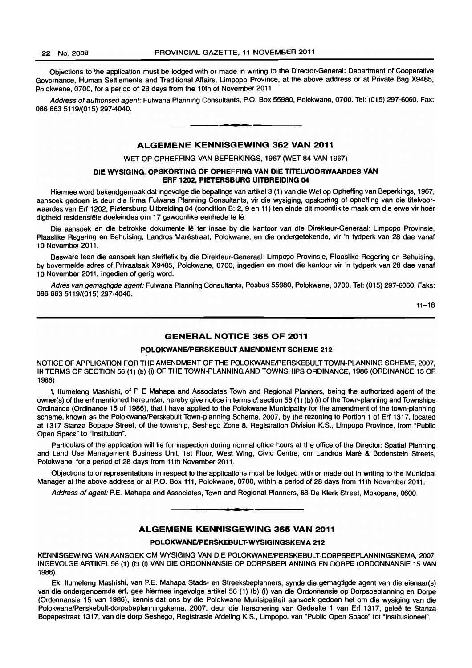Objections to the application must be lodged with or made in writing to the Director-General: Department of Cooperative Governance, Human Settlements and Traditional Affairs, Limpopo Province, at the above address or at Private Bag X9485, Polokwane, 0700, for a period of 28 days from the 10th of November 2011.

Address of authorised agent: Fulwana Planning Consultants, P.O. Box 55980, Polokwane, 0700. Tel: (015) 297-6060. Fax: 086663 5119/(015) 297-4040. . **\_.** 

## ALGEMENE KENNISGEWING 362 VAN 2011

WET OP OPHEFFING VAN BEPERKINGS, 1967 (WET 84 VAN 1967)

## DIE WYSIGING, OPSKORTING OF OPHEFFING VAN DIE TITELVOORWAARDES VAN ERF 1202, PIETERSBURG UITBREIDING 04

Hiermee word bekendgemaak dat ingevolge die bepalings van artikel3 (1) van die Wet op Opheffing van Beperkings, 1967, aansoek gedoen is deur die firma Fulwana Planning Consultants, vir die wysiging, opskorting of opheffing van die titelvoorwaardes van Erf 1202, Pietersburg Uitbreiding 04 (condition B: 2, 9 en 11) ten einde dit moontlik te maak om die erwe vir hoer digtheid residensiele doeleindes om 17 gewoonlike eenhede te Ie.

Die aansoek en die betrokke dokumente lê ter insae by die kantoor van die Direkteur-Generaal: Limpopo Provinsie, Plaaslike Regering en Behuising, Landros Marestraat, Polokwane, en die ondergetekende, vir 'n tydperk van 28 dae vanaf 10 November 2011.

Besware teen die aansoek kan skriftelik by die Direkteur-Generaal: Limpopo Provinsie, Plaaslike Regering en Behuising, by bovermelde adres of Privaatsak X9485 , Polokwane, 0700, ingedien en moet die kantoor vir 'n tydperk van 28 dae vanaf 10 November 2011, ingedien of gerig word.

Adres van gemagtigde agent: Fulwana Planning Consultants, Posbus 55980, Polokwane, 0700. Tel: (015) 297-6060. Faks: 0866635119/(015) 297-4040.

 $11 - 18$ 

# **GENERAL NOTICE 365 OF 2011**

## POLOKWANE/PERSKEBULT AMENDMENT SCHEME 212

NOTICE OF APPLICATION FOR THE AMENDMENT OF THE POLOKWANE/PERSKEBULT TOWN-PLANNING SCHEME, 2007, IN TERMS OF SECTION 56 (1) (b) (i) OF THE TOWN-PLANNING AND TOWNSHIPS ORDINANCE, 1986 (ORDINANCE 15 OF 1986)

I, Itumeleng Mashishi, of P E Mahapa and Associates Town and Regional Planners, being the authorized agent of the owner(s) of the erf mentioned hereunder, hereby give notice in terms of section 56 (1) (b) (i) of the Town-planning and Townships Ordinance (Ordinance 15 of 1986), that I have applied to the Polokwane Municipality for the amendment of the town-planning scheme, known as the PolokwanelPerskebult Town-planning Scheme, 2007, by the rezoning to Portion 1 of Erf 1317, located at 1317 Stanza Bopape Street, of the township, Seshego Zone 8, Registration Division K.S., Limpopo Province, from ·Public Open Space" to "Institution".

Particulars of the application will lie for inspection during normal office hours at the office of the Director: Spatial Planning and Land Use Management Business Unit, 1st Floor, West Wing, Civic Centre, cnr Landros Maré & Bodenstein Streets, Polokwane, for a period of 28 days from 11th November 2011.

Objections to or representations in respect to the applications must be lodged with or made out in writing to the Municipal Manager at the above address or at P.O. Box 111, Polokwane, 0700, wilhin a period of 28 days from 11th November 2011.

Address of agent: P.E. Mahapa and Associates, Town and Regional Planners, 68 De Klerk Street, Mokopane, 0600 . . **-.** 

# ALGEMENE KENNISGEWING 365 VAN 2011

## POLOKWANE/PERSKEBULT-WYSIGINGSKEMA 212

KENNISGEWING VAN AANSOEK OM WYSIGING VAN DIE POLOKWANE/PERSKEBULT-DORPSBEPLANNINGSKEMA, 2007, INGEVOLGE ARTIKEL 56 (1) (b) (i) VAN DIE ORDONNANSIE OP DORPSBEPLANNING EN DORPE (ORDONNANSIE 15 VAN 1986)

Ek, Itumeleng Mashishi, van P.E. Mahapa Stads- en Streeksbeplanners, synde die gemagtigde agent van die eienaar(s) van die ondergenoemde erf, gee hiermee ingevolge artikel 56 (1) (b) (i) van die Ordonnansie op Dorpsbeplanning en Dorpe (Ordonnansie 15 van 1986), kennis dat ons by die Polokwane Munisipaliteit aansoek gedoen het om die wysiging van die Polokwane/Perskebult-dorpsbeplanningskema, 2007, deur die hersonering van Gedeelte 1 van Erf 1317, geleë te Stanza Bopapestraat 1317, van die dorp Seshego, Registrasie Afdeling K.S., Limpopo, van "Public Open Space" tot "Institusioneer.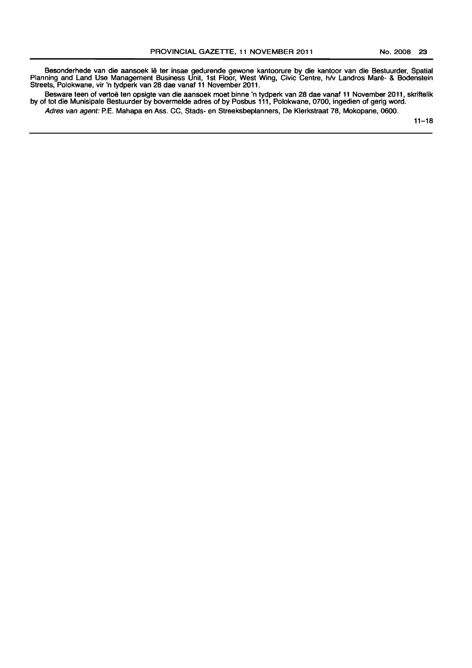Besonderhede van die aansoek Ie ter insae gedurende gewone kantoorure by die kantoor van die Bestuurder, Spatial Planning and Land Use Management Business Unit, 1st Floor, West Wing, Civic Centre, h/v Landros Maré- & Bodenstein Streets, Polokwane, vir 'n tydperk van 28 dae vanaf 11 November 2011.

Besware teen of vertoe ten opsigte van die aansoek moet binne 'n tydperk van 28 dae vanaf 11 November 2011, skriftelik by of tot die Munisipale Bestuurder by bovermelde adres of by Posbus 111, Polokwane, 0700, ingedien of gerig word.

Adres van agent: P.E. Mahapa en Ass. CC, Stads- en Streeksbeplanners, De Klerkstraat 78, Mokopane, 0600.

 $11 - 18$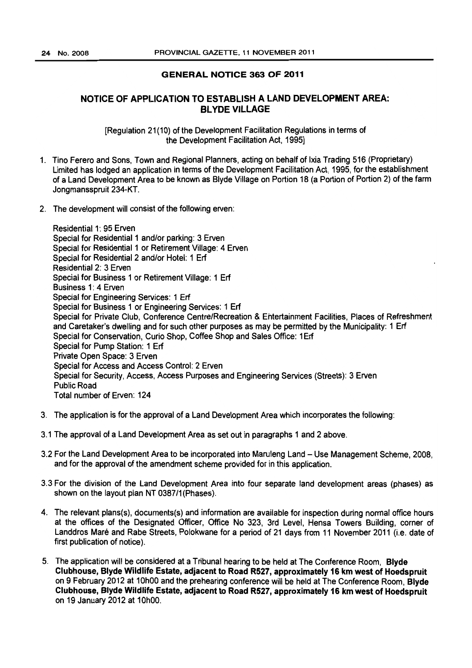# GENERAL NOTICE 363 OF 2011

# NOTICE OF APPLICATION TO ESTABLISH A LAND DEVELOPMENT AREA: BL YDE VILLAGE

[Regulation 21(10) of the Development Facilitation Regulations in terms of the Development Facilitation Act, 1995]

- 1. Tino Ferero and Sons, Town and Regional Planners, acting on behalf of Ixia Trading 516 (Proprietary) Limited has lodged an application in terms of the Development Facilitation Act, 1995, for the establishment of a Land Development Area to be known as Blyde Village on Portion 18 (a Portion of Portion 2) of the farm Jongmansspruit 234-KT.
- 2. The development will consist of the following erven:

Residential 1: 95 Erven Special for Residential 1 and/or parking: 3 Erven Special for Residential 1 or Retirement Village: 4 Erven Special for Residential 2 and/or Hotel: 1 Erf Residential 2: 3 Erven Special for Business 1 or Retirement Village: 1 Erf Business 1: 4 Erven Special for Engineering Services: 1 Erf Special for Business 1 or Engineering Services: 1 Erf Special for Private Club, Conference Centre/Recreation & Entertainment Facilities, Places of Refreshment and Caretaker's dwelling and for such other purposes as may be permitted by the Municipality: 1 Erf Special for Conservation, Curio Shop, Coffee Shop and Sales Office: 1Erf Special for Pump Station: 1 Erf Private Open Space: 3 Erven Special for Access and Access Control: 2 Erven Special for Security, Access, Access Purposes and Engineering Services (Streets): 3 Erven Public Road Total number of Erven: 124

- 3. The application is for the approval of a Land Development Area which incorporates the following:
- 3.1 The approval of a Land Development Area as set out in paragraphs 1 and 2 above.
- 3.2 For the Land Development Area to be incorporated into Maruleng Land Use Management Scheme, 2008, and for the approval of the amendment scheme provided for in this application.
- 3.3 For the division of the Land Development Area into four separate land development areas (phases) as shown on the layout plan NT 0387/1 (Phases).
- 4. The relevant plans(s), documents(s) and information are available for inspection during normal office hours at the offices of the Designated Officer, Office No 323, 3rd Level, Hensa Towers Building, comer of Landdros Mare and Rabe Streets, Polokwane for a period of 21 days from 11 November 2011 (i.e. date of first publication of notice).
- 5. The application will be considered at a Tribunal hearing to be held at The Conference Room, Blyde Clubhouse. Blyde Wildlife Estate, adjacent to Road R527. approximately 16 km west of Hoedspruit on 9 February 2012 at 10hOO and the prehearing conference will be held at The Conference Room, Blyde Clubhouse. Blyde Wildlife Estate. adjacent to Road R527, approximately 16 km west of Hoedspruit on 19 January 2012 at 10hOO.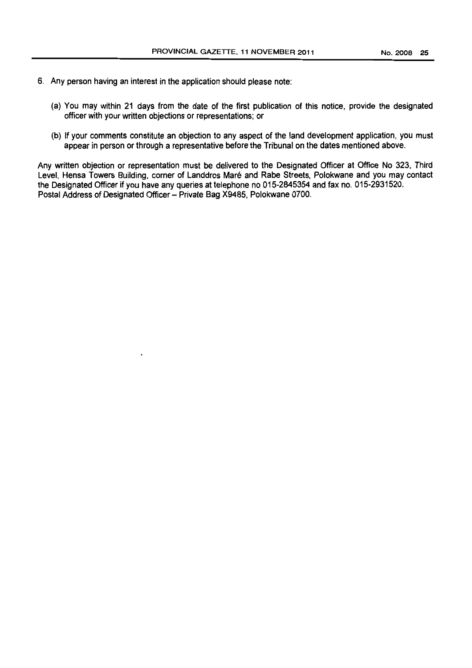- 6. Any person having an interest in the application should please note:
	- (a) You may within 21 days from the date of the first publication of this notice, provide the designated officer with your written objections or representations; or
	- (b) If your comments constitute an objection to any aspect of the land development application, you must appear in person or through a representative before the Tribunal on the dates mentioned above.

Any written objection or representation must be delivered to the DeSignated Officer at Office No 323, Third Level, Hensa Towers Building, corner of Landdros Maré and Rabe Streets, Polokwane and you may contact the Designated Officer if you have any queries at telephone no 015-2845354 and fax no. 015-2931520. Postal Address of Designated Officer - Private Bag X9485, Polokwane 0700.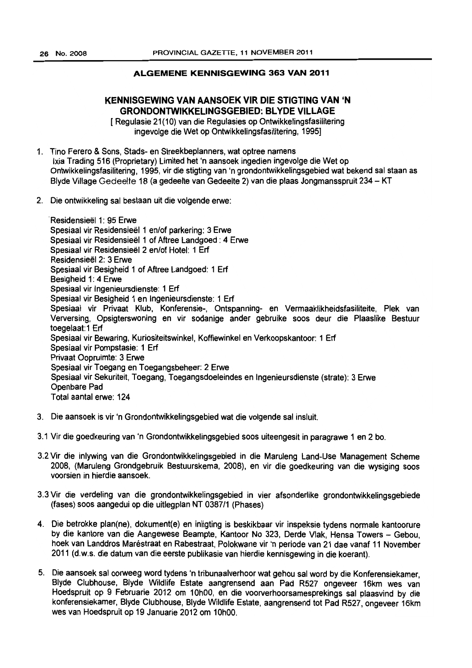# ALGEMENE KENNISGEWING 363 VAN 2011

# KENNISGEWING VAN AANSOEK VIR DIE STIGTING VAN 'N GRONDONTWIKKELINGSGEBIED: BLYDE VILLAGE

[Regulasie 21(10) van die Regulasies op Ontwikkelingsfasilitering ingevolge die Wet op Ontwikkelingsfasilitering, 1995]

- 1. Tino Ferero & Sons, Stads- en Streekbeplanners, wat optree namens Ixia Trading 516 (Proprietary) Limited het 'n aansoek ingedien ingevolge die Wet op Ontwikkelingsfasilitering, 1995, vir die stigting van 'n grondontwikkelingsgebied wat bekend sal staan as Blyde Village Gedeelte 18 (a gedeelte van Gedeelte 2) van die plaas Jongmansspruit 234 - KT
- 2. Die ontwikkeling sal bestaan uit die volgende erwe:

. Residensieel 1: 95 Erwe Spesiaal vir Residensieel 1 en/of parkering: 3 Erwe Spesiaal vir Residensieel 1 of Aftree Landgoed : 4 Erwe Spesiaal vir Residensieel 2 en/of Hotel: 1 Erf Residensieel 2: 3 Erwe Spesiaal vir Besigheid 1 of Aftree Landgoed: 1 Erf Besigheid 1: 4 Erwe Spesiaal vir Ingenieursdienste: 1 Erf Spesiaal vir Besigheid 1 en Ingenieursdienste: 1 Erf Spesiaal vir Privaat Klub, Konferensie-, Ontspanning- en Vermaaklikheidsfasiliteite, Plek van Verversing. Opsigterswoning en vir sodanige ander gebruike soos deur die Plaaslike Bestuur toegelaat: 1 Erf Spesiaal vir Bewaring, Kuriositeitswinkel. Koffiewinkel en Verkoopskantoor: 1 Erf Spesiaal vir Pompstasie: 1 Erf Privaat Oopruimte: 3 Erwe Spesiaal vir Toegang en Toegangsbeheer: 2 Erwe Spesiaal vir Sekuriteit. Toegang, Toegangsdoeleindes en Ingenieursdienste (strate): 3 Erwe Openbare Pad Total aantal erwe: 124

- 3. Die aansoek is vir 'n Grondontwikkelingsgebied wat die volgende sal insluit.
- 3.1 Vir die goedkeuring van 'n Grondontwikkelingsgebied soos uiteengesit in paragrawe 1 en 2 bo.
- 3.2 Vir die inlywing van die Grondontwikkelingsgebied in die Maruleng Land-Use Management Scheme 2008, (Maruleng Grondgebruik Bestuurskema, 2008). en vir die goedkeuring van die wysiging soos voorsien in hierdie aansoek.
- 3.3 Vir die verdeling van die grondontwikkelingsgebied in vier afsonderlike grondontwikkelingsgebiede (fases) soos aangedui op die uitlegplan NT 0387/1 (Phases)
- 4. Die betrokke plan(ne), dokument(e) en inligting is beskikbaar vir inspeksie tydens normale kantoorure by die kantore van die Aangewese Beampte, Kantoor No 323. Derde Vlak, Hensa Towers - Gebou, hoek van Landdros Maréstraat en Rabestraat, Polokwane vir 'n periode van 21 dae vanaf 11 November 2011 (d.w.s. die datum van die eerste publikasie van hierdie kennisgewing in die koerant).
- 5. Die aansoek sal oorweeg word tydens 'n tribunaalverhoor wat gehou sal word by die Konferensiekamer, Blyde Clubhouse, Blyde Wildlife Estate aangrensend aan Pad R527 ongeveer 16km wes van Hoedspruit op 9 Februarie 2012 om 10hOO, en die voorverhoorsamesprekings sal plaasvind by die konferensiekamer, Blyde Clubhouse, Blyde Wildlife Estate, aangrensend tot Pad R527, ongeveer 16km wes van Hoedspruit op 19 Januarie 2012 om 10hOO.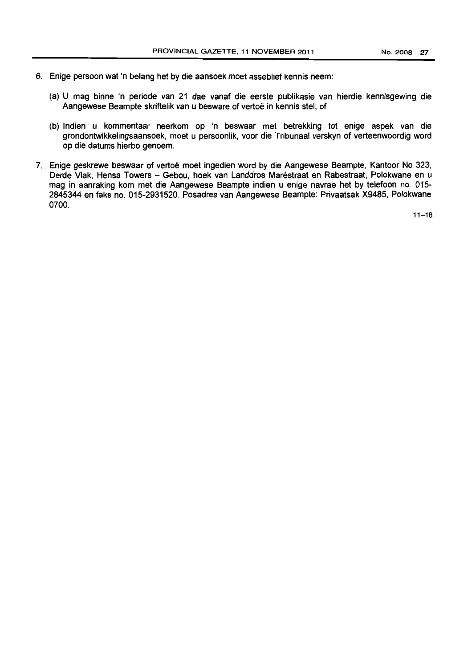- 6. Enige persoon wat 'n belang het by die aansoek moet asseblief kennis neem:
	- (a) U mag binne 'n periode van 21 dae vanaf die eerste publikasie van hierdie kennisgewing die Aangewese Beampte skriftelik van u besware of vertoe in kennis stel; of
	- (b) Indien u kommentaar neerkom op 'n beswaar met betrekking tot enige aspek van die grondontwikkelingsaansoek, moet u persoonlik, voor die Tribunaal verskyn of verteenwoordig word op die datums hierbo genoem.
- 7. Enige geskrewe beswaar of vertoë moet ingedien word by die Aangewese Beampte, Kantoor No 323, Derde Vlak, Hensa Towers - Gebou, hoek van Landdros Maréstraat en Rabestraat, Polokwane en u mag in aanraking kom met die Aangewese Beampte indien u enige navrae het by telefoon no. 015- 2845344 en faks no. 015-2931520. Posadres van Aangewese Beampte: Privaatsak X9485, Polokwane 0700.

 $11 - 18$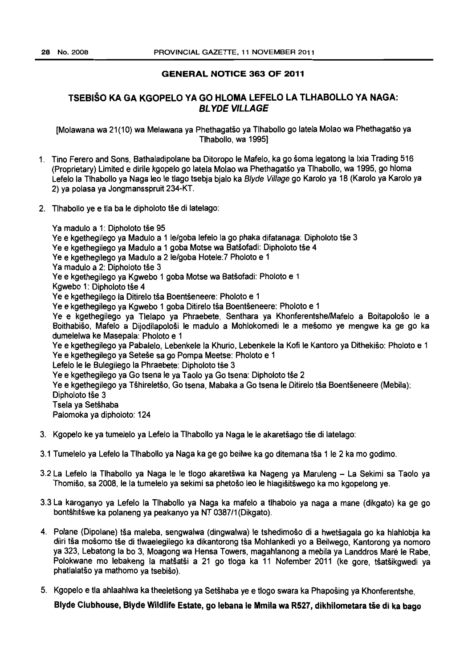# GENERAL NOTICE 363 OF 2011

# TSEBISO KA GA KGOPELO VA GO HLOMA LEFELO LA TLHABOLLO VA NAGA: BL YDE VILLAGE

[Molawana wa 21(10) wa Melawana ya Phethagatso ya Tlhabollo go latela Molao wa Phethagatso ya Tlhabollo, wa 1995]

- 1. Tino Ferero and Sons, Bathaladipolane ba Ditoropo Ie Mafelo, ka go soma legatong la Ixia Trading 516 (Proprietary) limited e dirile kgopelo go latela Molao wa Phethagatso ya Tlhabollo, wa 1995, go hloma Lefelo la Tlhabollo ya Naga leo le tlago tsebia bialo ka Blyde Village go Karolo ya 18 (Karolo ya Karolo ya 2) ya polasa ya Jongmansspruit 234-KT.
- 2. Tihabollo ye e tla ba le dipholoto tše di latelago:

Ya madulo a 1: Dipholoto tše 95 Ve e kgethegilego ya Madulo a 11e/goba lefelo la go phaka difatanaga: Dipholoto tse 3 Ye e kgethegilego ya Madulo a 1 goba Motse wa Batšofadi: Dipholoto tše 4 Ye e kgethegilego ya Madulo a 2 le/goba Hotele: 7 Pholoto e 1 Ya madulo a 2: Dipholoto tše 3 Ve e kgethegilego ya Kgwebo 1 goba Motse wa Batsofadi: Pholoto e 1 Kgwebo 1: Dipholoto tše 4 Ve e kgethegilego la Ditirelo tsa Boentseneere: Pholoto e 1 Ye e kgethegilego ya Kgwebo 1 goba Ditirelo tša Boentšeneere: Pholoto e 1 Ve e kgethegilego ya Tlelapo ya Phraebete, Senthara ya Khonferentshe/Mafelo a Boitapoloso Ie a Boithabiso, Mafelo a Dijodilapolosi Ie madulo a Mohlokomedi Ie a mesomo ye mengwe ka ge go ka dumelelwa ke Masepala: Pholoto e 1 Ve e kgethegilego ya Pabalelo, Lebenkele la Khurio. Lebenkele la Kofi Ie Kantoro ya Dithekiso: Pholoto e 1 Ve e kgethegilego ya Setese sa go Pompa Meetse: Pholoto e 1 Lefelo le le Bulegilego la Phraebete: Dipholoto tše 3 Ye e kgethegilego ya Go tsena le ya Taolo ya Go tsena: Dipholoto tše 2 Ye e kgethegilego ya Tšhireletšo, Go tsena, Mabaka a Go tsena le Ditirelo tša Boentšeneere (Mebila): Dipholoto tše 3 Tsela ya Setshaba Palomoka ya dipholoto: 124

- 3. Kgopelo ke ya tumelelo ya Lefelo la Tlhabollo ya Naga Ie Ie akaretsago tie di latelago:
- 3.1 Tumelelo ya Lefelo la Tlhabollo ya Naga ka ge go beilwe ka go ditemana tša 1 le 2 ka mo godimo.
- 3.2 La Lefelo la Tlhabollo ya Naga Ie Ie tlogo akaretswa ka Nageng ya Maruleng La Sekimi sa Taolo ya Thomišo, sa 2008, le la tumelelo ya sekimi sa phetošo leo le hlagišitšwego ka mo kgopelong ye.
- 3.3 La karoganyo ya Lefelo la Tlhabollo ya Naga ka mafelo a tlhabolo ya naga a mane (dikgato) ka ge go bontshitswe ka polaneng ya peakanyo ya NT 0387/1 (Dikgato).
- 4. Polane (Dipolane) tša maleba, sengwalwa (dingwalwa) le tshedimošo di a hwetšagala go ka hlahlobja ka diiri tša mošomo tše di tlwaelegilego ka dikantorong tša Mohlankedi yo a Beilwego, Kantorong ya nomoro ya 323, Lebatong la bo 3, Moagong wa Hensa Towers, magahlanong a mebila ya Landdros Mare Ie Rabe, Polokwane mo lebakeng la matšatši a 21 go tloga ka 11 Nofember 2011 (ke gore, tšatšikgwedi va phatlalatso ya mathomo ya tsebiso).
- 5. Kgopelo e tla ahlaahlwa ka theeletsong ya Setshaba ye e tlogo swara ka Phaposing ya Khonferentshe,

Blyde Clubhouse, Blyde Wildlife Estate, go lebana le Mmila wa R527, dikhilometara tše di ka bago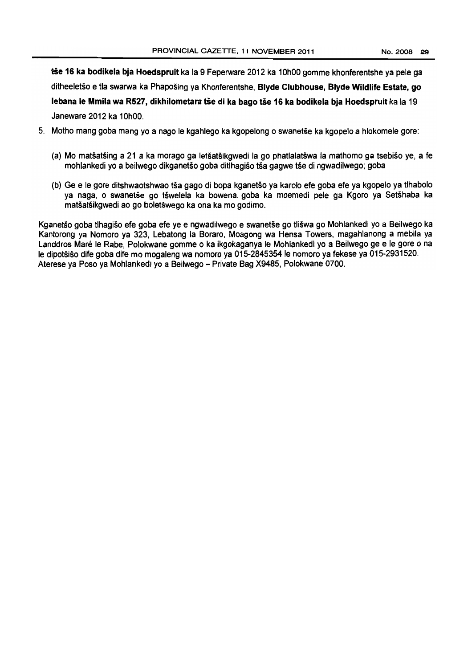tše 16 ka bodikela bja Hoedspruit ka la 9 Feperware 2012 ka 10h00 gomme khonferentshe ya pele ga ditheeletso e tla swarwa ka Phaposing ya Khonferentshe, Blyde Clubhouse, Blyde Wildlife Estate, go lebana le Mmila wa R527, dikhilometara tše di ka bago tše 16 ka bodikela bja Hoedspruit ka la 19 Janeware 2012 ka 10hOO.

- 5. Motho mang goba mang yo a nago Ie kgahlego ka kgopelong 0 swanetse ka kgopelo a hlokomele gore:
	- (a) Mo matsatsing a 21 a ka morago ga letsatsikgwedi la go phatlalatswa la mathomo ga tsebiso ye, a fe mohlankedi yo a beilwego dikganetšo goba ditlhagišo tša gagwe tše di ngwadilwego; goba
	- (b) Ge e Ie gore ditshwaotshwao tsa gago di bopa kganetso ya karolo efe goba efe ya kgopelo ya tlhabolo ya naga, o swanetše go tšwelela ka bowena goba ka moemedi pele ga Kgoro ya Setšhaba ka matsatsikgwedi ao go boletswego ka ona ka mo godimo.

Kganetso goba tlhagiso efe goba efe ye e ngwadilwego e swanetse go tliswa go Mohlankedi yo a Beilwego ka Kantorong ya Nomoro ya 323. Lebatong la Boraro, Moagong wa Hensa Towers, magahlanong a mebila ya Landdros Maré le Rabe, Polokwane gomme o ka ikgokaganya le Mohlankedi yo a Beilwego ge e le gore o na Ie dipotsiso dife goba dife mo mogaleng wa nomoro ya 015-2845354 Ie nomoro ya fekese ya 015-2931520. Aterese ya Poso ya Mohlankedi yo a Beilwego - Private Bag X9485, Polokwane 0700.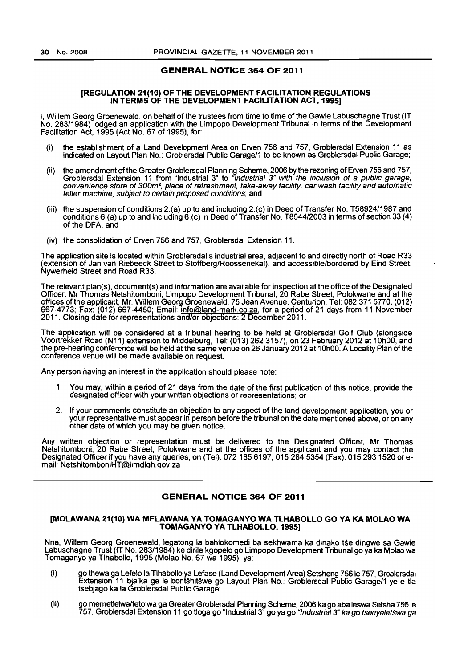# GENERAL NOTICE 364 OF 2011

## [REGULATION 21(10) OF THE DEVELOPMENT FACILITATION REGULATIONS IN TERMS OF THE DEVELOPMENT FACILITATION ACT, 1995]

I, Willem Georg Groenewald, on behalf of the trustees from time to time of the Gawie Labuschagne Trust (IT No. 283/1984) lodged an application with the Limpopo Development Tribunal in terms of the Development Facilitation Act, 1995 (Act No. 67 of 1995), for:

- (i) the establishment of a Land Development Area on Erven 756 and 757, Groblersdal Extension 11 as indicated on Layout Plan No.: Groblersdal Public Garage/1 to be known as Groblersdal Public Garage;
- (ii) the amendment of the Greater Groblersdal Planning Scheme, 2006 by the rezoning of Erven 756 and 757, Groblersdal Extension 11 from "Industrial 3" to "Industrial 3" with the inclusion of a public garage, convenience store of 300m2, place of refreshment, take-away facility, car wash facility and automatic teller machine, subject to certain proposed conditions; and
- (iii) the suspension of conditions 2.(a) up to and including 2.(c) in Deed of Transfer No. T58924/1987 and conditions 6.(a} up to and including 6.(c) in Deed of Transfer No. T8544/2003 in terms of section 33 (4) of the DFA; and
- (iv) the consolidation of Erven 756 and 757, Groblersdal Extension 11.

The application site is located within Groblersdal's industrial area, adjacent to and directly north of Road R33 (extension of Jan van Riebeeck Street to Stoffberg/Roossenekal), and accessible/bordered by Eind Street, Nywerheid Street and Road R33.

The relevant plan(s), document(s) and information are available for inspection at the office of the DeSignated Officer: Mr Thomas Netshitomboni, Limpopo Development Tribunal, 20 Rabe Street, Polokwane and at the offices of the applicant, Mr. Willem Georg Groenewald, 75 Jean Avenue, Centurion, Tel: 082 371 5770, (012) 667-4773; Fax: (012) 667-4450; Email: <u>info@land-mark.co.za</u>, for a period of 21 days from 11 November 2011. Closing date for representations and/or objections: 2 December 2011.

The application will be considered at a tribunal hearing to be held at Groblersdal Golf Club (alongside Voortrekker Road (N11) extension to Middelburg, Tel: (013) 262 3157), on 23 February 2012 at 10hOO, and the pre-hearing conference will be held at the same venue on 26 January 2012 at 10hOO. A Locality Plan of the conference venue will be made available on request.

Any person having an interest in the application should please note:

- 1. You may. within a period of 21 days from the date of the first publication of this notice. provide the designated officer with your written objections or representations; or
- 2. If your comments constitute an objection to any aspect of the land development application, you or your representative must appear in person before the tribunal on the date mentioned above, or on any other date of which you may be given notice.

Any written objection or representation must be delivered to the Designated Officer, Mr Thomas Netshitomboni, 20 Rabe Street, Polokwane and at the offices of the applicant and you may contact the Designated Officer if you have any queries, on (Tel): 072 185 6197, 015 284 5354 (Fax): 015 293 1520 or email: <u>Netshito</u>mboniHT@lim<u>dlgh.gov.za</u>

# GENERAL NOTICE 364 OF 2011

## [MOLAWANA 21(10) WA MELAWANA VA TOMAGANYO WA TLHABOLLO GO VA KA MOLAO WA TOMAGANYO YA TLHABOLLO, 1995]

Nna, Willem Georg Groenewald, legatong la bahlokomedi ba sekhwama ka dinako tse dingwe sa Gawie Labuschagne Trust (IT No. 283/1984) ke dirile kgopelo go Limpopo Development Tribunal go ya ka Molao wa Tomaganyo ya Tlhabollo, 1995 (Molao No. 67 wa 1995), va:

- (i) go thewa ga Lefelo la Tlhabollo ya Lefase (Land Development Area) Setsheng 756 Ie 757. Groblersdal Extension 11 bja'ka ge Ie bont§hitswe go Layout Plan No.: Groblersdal Public Garage/1 ye e tla tsebjago ka la Groblersdal Public Garage;
- (ii) go memetlelwalfetolwa ga Greater Groblersdal Planning Scheme, 2006 ka go aba leswa Setsha 756 Ie 757. Groblersdal Extension 11 go tioga go "Industrial 3" go ya go *"Industrial 3" ka go tsenyeletšwa ga*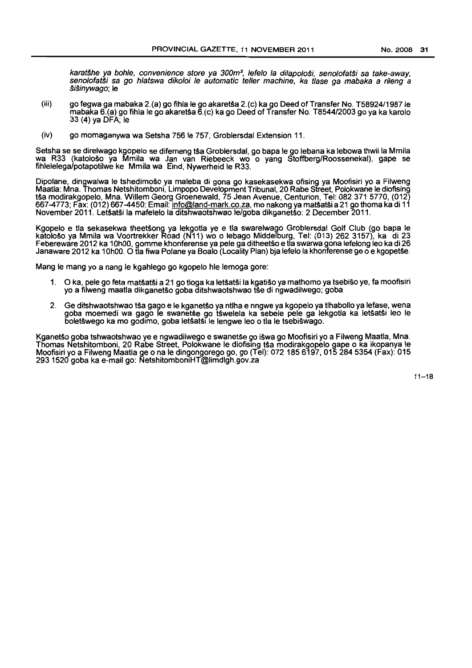karatšhe ya bohle, convenience store ya 300m<sup>2</sup>, lefelo la dilapološi, senolofatši sa take-away, senolofatši sa go hlatswa dikoloi le automatic teller machine, ka tlase ga mabaka a rileng a §;\$inywago; Ie

- (iii) go fegwa ga mabaka 2.(a) go fihla Ie go akaretsa 2.(c) ka go Deed of Transfer No. T58924/1987 Ie mabaka 6.(a) go fihla Ie go akaretsa 6.(c) ka go Deed of Transfer No. T8544/2003 go ya ka karolo 33 (4) ya DFA; Ie
- (iv) go momaganywa wa Setsha 756 Ie 757, Groblersdal Extension 11.

Setsha se se direlwago kgopelo se difemeng tša Groblersdal, go bapa le go lebana ka lebowa thwii la Mmila wa R33 (katološo ya Mmila wa Jan van Riebeeck wo o yang Stoffberg/Roossenekal), gape se fihlelelega/potapotilwe ke Mmila wa Eind, Nywerheid Ie R33.

Dipolane, dingwalwa le tshedimošo ya maleba di gona go kasekasekwa ofising ya Moofisiri yo a Filweng Maatla: Mna. Thomas Netshitomboni, Limpopo Development Tribunal, 20 Rabe Street, Polokwane Ie diofising tsa modirakgopelo, Mna. Willem Georg Groenewald, 75 Jean Avenue, Centurion, Tel: 082 371 5770, (012) 667-4773; Fax: (012) 667-4450; Email: <u>info@land-mark.co.za,</u> mo nakong ya matšatši a 21 go thoma ka di 11 November 2011. Letšatši la mafelelo la ditshwaotshwao le/goba dikganetšo: 2 December 2011.

Kgopelo e tla sekasekwa theetsong ya lekgotla ye e tla swarelwago Groblersdal Golf Club (go bapa Ie katoloso ya Mmila wa Voortrekker Road (N11) wo 0 lebago Middefburg, Tel: (013) 262 3157). ka di 23 Febereware 2012 ka 10hOO, gomme khonferense ya pele ga ditheetso e tla swarwa gona lefelong leo ka di 26 Janaware 2012 ka 10h00. O tla fiwa Polane ya Boalo (Locality Plan) bja lefelo la khonferense ge o e kgopetše.

Mang Ie mang yo a nang Ie kgahlego go kgopelo hie lemoga gore:

- 1. 0 ka, pele go feta matsatsi a 21 go tioga ka letsatsi la kgatiso ya mathomo ya tsebiso ye, fa moofisiri yo a filweng maatla dikganetso goba ditshwaotshwao tse di ngwadilwego; goba
- 2. Ge ditshwaotshwao tša gago e le kganetšo ya ntlha e nngwe ya kgopelo ya tlhabollo ya lefase, wena goba moemedi wa gago le swanetše go tšwelela ka sebele pele ga lekgotla ka letšatši leo le boletSwego ka mo godimo, goba letsatsi Ie lengwe leo 0 tla Ie tsebiswago.

Kganetšo goba tshwaotshwao ye e ngwadilwego e swanetše go išwa go Moofisiri yo a Filweng Maatla, Mna. Thomas Netshitomboni, 20 Rabe Street, Polokwane le diofising tša modirakgopelo gape o ka ikopanya le Moofisiri yo a Filweng Maatla ge 0 na Ie dingongorego go, go (Tel): 072 1856197,0152845354 (Fax): 015 293 1520 goba ka e-mail go: NetshitomboniHT@limdlgh.gov.za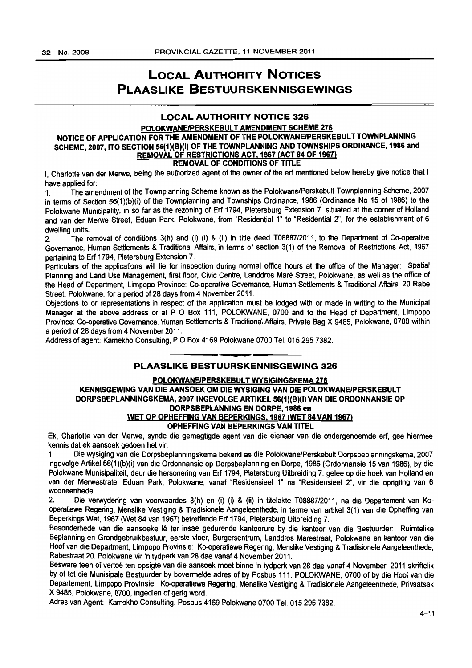# LOCAL AUTHORITY NOTICES PLAASLIKE BESTUURSKENNISGEWINGS

# LOCAL AUTHORITY NOTICE 326

## POLOKWANEJPERSKEBULT AMENDMENT SCHEME 276 NOTICE OF APPLICATION FOR THE AMENDMENT OF THE POLOKWANEJPERSKEBULT TOWNPLANNING SCHEME, 2007, ITO SECTION 56(1)(B)(I) OF THE TOWNPLANNING AND TOWNSHIPS ORDINANCE, 1986 and REMOVAL OF RESTRICTIONS ACT. 1967 (ACT 84 OF 1967) REMOVAL OF CONDITIONS OF TITLE

I. Charlotte van der Merwe, being the authorized agent of the owner of the erf mentioned below hereby give notice that I have applied for:

1. The amendment of the Townplanning Scheme known as the Polokwane/Perskebult Townplanning Scheme. 2007 in terms of Section 56(1)(b)(i) of the Townplanning and Townships Ordinance, 1986 (Ordinance No 15 of 1986) to the Polokwane Municipality. in so far as the rezoning of Erf 1794. Pietersburg Extension 7, situated at the corner of Holland and van der Merwe Street. Eduan Park, Polokwane, from "Residential 1" to "Residential 2", for the establishment of 6 dwelling units.

2. The removal of conditions 3(h) and (i) (i) & (ii) in title deed T08887/2011, to the Department of Co-operative Governance, Human Settlements & Traditional Affairs, in terms of section 3(1) of the Removal of Restrictions Act, 1967 pertaining to Erf 1794, Pietersburg Extension 7.

Particulars of the applications will lie for inspection during normal office hours at the office of the Manager: Spatial Planning and Land Use Management, first floor. Civic Centre. Landdros Mare Street, Polokwane. as well as the office of the Head of Department, Limpopo Province: Co-operative Governance, Human Settlements & Traditional Affairs, 20 Rabe Street. Polokwane. for a period of 28 days from 4 November 2011.

Objections to or representations in respect of the application must be lodged with or made in writing to the Municipal Manager at the above address or at P O Box 111, POLOKWANE, 0700 and to the Head of Department. Limpopo Province: Co-operative Governance. Human Settlements & Traditional Affairs. Private Bag X 9485. Polokwane. 0700 within a period of 28 days from 4 November 2011.

Address of agent: Kamekho Consulting, P O Box 4169 Polokwane 0700 Tel: 015 295 7382.

# **m.**  PLAASLIKE BESTUURSKENNISGEWING 326

# POLOKWANEJPERSKEBULT WYSIGINGSKEMA 276 KENNISGEWING VAN DIE AANSOEK OM DIE WYSIGING VAN DIE POLOKWANEJPERSKEBULT DORPSBEPLANNINGSKEMA,2007 INGEVOLGE ARTIKEL 56(1)(B)(I) VAN DIE ORDONNANSIE OP DORPSBEPLANNING EN DORPE, 1986 en WET OP OPHEFFING VAN BEPERKINGS. 1967 (WET 84 VAN 1967) OPHEFFING VAN BEPERKINGS VAN TITEL

# Ek, Char10tte van der Merwe, synde die gemagtigde agent van die eienaar van die ondergenoemde ert, gee hiermee kennis dat ek aansoek gedoen het vir:

1. Die wysiging van die Dorpsbeplanningskema bekend as die Polokwane/Perskebult Dorpsbeplanningskema, 2007 ingevolge Artikel 56(1)(b)(i) van die Ordonnansie op Dorpsbeplanning en Dorpe, 1986 (Ordonnansie 15 van 1986), by die Polokwane Munisipaliteit. deur die hersonering van Erf 1794, Pietersburg Uitbreiding 7, gelee op die hoek van Holland en van der Merwestrate, Eduan Park, Polokwane, vanaf "Residensieel 1" na "Residensieel 2", vir die oprigting van 6 wooneenhede.

2. Die verwydering van voorwaardes 3(h) en (i) (i) & (ii) in titelakte T08887/2011, na die Departement van Kooperatiewe Regering, Menslike Vestiging & Tradisionele Aangeleenthede, in terme van artikel 3(1) van die Opheffing van Beperkings Wet, 1967 (Wet 84 van 1967) betreffende Erf 1794, Pietersburg Uitbreiding 7.

Besonderhede van die aansoeke lê ter insae gedurende kantoorure by die kantoor van die Bestuurder: Ruimtelike Beplanning en Grondgebruikbestuur. eerste vloer, Burgersentrum, Landdros Marestraat, Polokwane en kantoor van die Hoof van die Department, Limpopo Provinsie: Ko-operatiewe Regering, Menslike Vestiging & Tradisionele Aangeleenthede, Rabestraat 20, Polokwane vir 'n tydperk van 28 dae vanaf 4 November 2011,

Besware teen of vertoë ten opsigte van die aansoek moet binne 'n tydperk van 28 dae vanaf 4 November 2011 skriftelik by of tot die Munisipale Bestuurder by bovermelde adres of by Posbus 111, POLOKWANE, 0700 of by die Hoof van die Departement, Limpopo Provinsie: Ko-operatiewe Regering, Menslike Vestiging & Tradisionele Aangeleenthede, Privaatsak X 9485, Polokwane, 0700, ingedien of gerig word.

Adres van Agent: Kamekho Consulting. Posbus 4169 Polokwane 0700 Tel: 0152957382.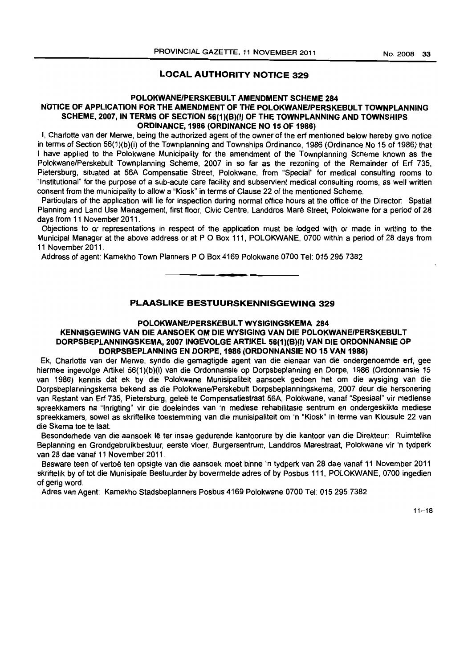# **LOCAL AUTHORITY NOTICE 329**

# **POLOKWANE/PERSKEBULT AMENDMENT SCHEME 284 NOTICE OF APPLICATION FOR THE AMENDMENT OF THE POLOKWANEIPERSKEBUL T TOWNPLANNING SCHEME, 2007, IN TERMS OF SECTION 56(1)(B)(I) OF THE TOWNPLANNING AND TOWNSHIPS ORDINANCE, 1986 (ORDINANCE NO 15 OF 1986)**

I, Charlotte van der Merwe, being the authorized agent of the owner of the erf mentioned below hereby give notice in terms of Section 56(1)(b)(i) of the Townplanning and Townships Ordinance, 1986 (Ordinance No 15 of 1986) that I have applied to the Polokwane Municipality for the amendment of the Townplanning Scheme known as the Polokwane/Perskebult Townplanning Scheme, 2007 in so far as the rezoning of the Remainder of Erf 735, Pietersburg, situated at 56A Compensatie Street, Polokwane, from "Special" for medical consulting rooms to "Institutional" for the purpose of a sub-acute care facility and subservient medical consulting rooms, as well written consent from the municipality to allow a "Kiosk" in terms of Clause 22 of the mentioned Scheme.

Particulars of the application will lie for inspection during normal office hours at the office of the Director: Spatial Planning and Land Use Management. first floor, Civic Centre, Landdros Mare Street. Polokwane for a period of 28 days from 11 November 2011.

Objections to or representations in respect of the application must be lodged with or made in writing to the Municipal Manager at the above address or at P O Box 111, POLOKWANE, 0700 within a period of 28 days from 11 November 2011.

Address of agent: Kamekho Town Planners POBox 4169 Polokwane 0700 Tel: 0152957382

# **PLAASLIKE BESTUURSKENNISGEWING 329**

**• •** 

# **POLOKWANE/PERSKEBULT WYSIGINGSKEMA 284**

# **KENNISGEWING VAN DIE AANSOEK OM DIE WYSIGING VAN DIE POLOKWANEIPERSKEBULT DORPSBEPLANNINGSKEMA, 2007 INGEVOLGE ARTIKEL 56(1){B){I) VAN DIE ORDONNANSIE OP DORPSBEPLANNING EN DORPE, 1986 (ORDONNANSIE NO 15 VAN 1986)**

Ek, Charlotte van der Merwe, synde die gemagtigde agent van die eienaar van die ondergenoemde ert, gee hiermee ingevolge Artikel 56(1)(b)(i) van die Ordonnansie op Dorpsbeplanning en Dorpe, 1986 (Ordonnansie 15 van 1986) kennis dat ek by die Polokwane Munisipaliteit aansoek gedoen het om die wysiging van die Dorpsbeplanningskema bekend as die Polokwane/Perskebult Dorpsbeplanningskema, 2007 deur die hersonering van Restant van Erf 735, Pietersburg, geleë te Compensatiestraat 56A, Polokwane, vanaf "Spesiaal" vir mediense spreekkamers na "Inrigting" vir die doeleindes van 'n mediese rehabilitasie sentrum en ondergeskikte mediese spreekkamers, sowel as skriftelike toestemming van die munisipaliteit om 'n "Kiosk" in terme van Klousule 22 van die Skema toe te laat.

Besonderhede van die aansoek lê ter insae gedurende kantoorure by die kantoor van die Direkteur: Ruimtelike Beplanning en Grondgebruikbestuur, eerste vloer, Burgersentrum, Landdros Marestraat, Polokwane vir 'n tydperk van 28 dae vanaf 11 November 2011.

Besware teen of vertoë ten opsigte van die aansoek moet binne 'n tydperk van 28 dae vanaf 11 November 2011 skriftelik by of tot die Munisipale Bestuurder by bovermelde adres of by Posbus 111, POLOKWANE, 0700 ingedien of gerig word.

Adres van Agent: Kamekho Stadsbeplanners Posbus 4169 Polokwane 0700 Tel: 0152957382

 $11 - 18$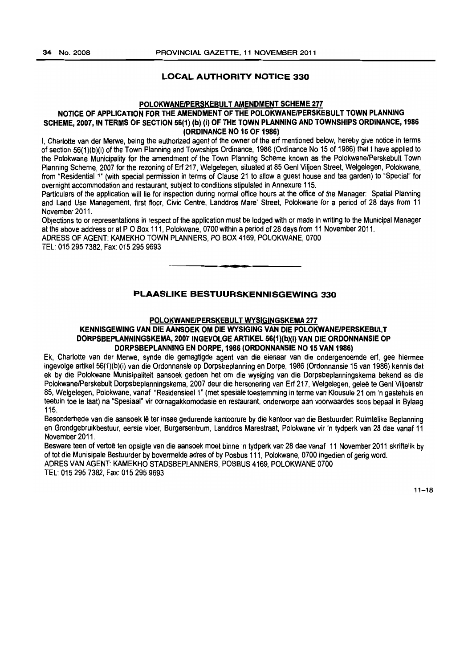# LOCAL AUTHORITY NOTICE 330

# POLOKWANEIPERSKEBULT AMENDMENT SCHEME 277

# NOTICE OF APPLICATION FOR THE AMENDMENT OF THE POLOKWANE/PERSKEBULT TOWN PLANNING SCHEME, 2007, IN TERMS OF SECTION 56(1) (b) (i) OF THE TOWN PLANNING AND TOWNSHIPS ORDINANCE, 1986 (ORDINANCE NO 15 OF 1986)

I, Charlotte van der Merwe, being the authorized agent of the owner of the erf mentioned below, hereby give notice in terms of section 56(1)(b)(i) of the Town Planning and Townships Ordinance, 1986 (Ordinance No 15 of 1986) that I have applied to the Polokwane Municipality for the amendment of the Town Planning Scheme known as the Polokwane/Perskebult Town Planning Scheme, 2007 for the rezoning of Erf 217, Welgelegen, situated at 85 Genl Viljoen Street, Welgelegen, Polokwane, from "Residential 1" (with special permission in terms of Clause 21 to allow a guest house and tea garden) to "Special" for overnight accommodation and restaurant. subject to conditions stipulated in Annexure 115.

Particulars of the application will lie for inspection during normal office hours at the office of the Manager: Spatial Planning and Land Use Management, first floor, Civic Centre, Landdros Mare' Street, Polokwane for a period of 28 days from 11 November 2011.

Objections to or representations in respect of the application must be lodged with or made in writing to the Municipal Manager at the above address or at P O Box 111, Polokwane, 0700 within a period of 28 days from 11 November 2011. ADRESS OF AGENT: KAMEKHO TOWN PLANNERS, PO BOX 4169, POLOKWANE, 0700 TEL: 0152957382. Fax: 015 295 9693

# PLAASLIKE BESTUURSKENNISGEWING 330

• **••** 

# POLOKWANE/PERSKEBULT WYSIGINGSKEMA 277

# KENNISGEWING VAN DIE AANSOEK OM DIE WYSIGING VAN DIE POLOKWANEIPERSKEBULT DORPSBEPLANNINGSKEMA, 2007 INGEVOLGE ARTIKEL 56(1)(b)(i) VAN DIE ORDONNANSIE OP DORPSBEPLANNING EN DORPE, 1986 (ORDONNANSIE NO 15 VAN 1986)

Ek, Charlotte van der Merwe, synde die gemagtigde agent van die eienaar van die ondergenoemde erf, gee hiermee ingevolge artikel 56(1)(b)(i) van die Ordonnansie op Dorpsbeplanning en Dorpe, 1986 (Ordonnansie 15 van 1986) kennis dat ek by die Polokwane Munisipaliteit aansoek gedoen het om die wysiging van die DorpsbepJanningskema bekend as die Polokwane/Perskebult Dorpsbeplanningskema, 2007 deur die hersonering van Erf 217, Welgelegen. gelee te Genl Viljoenstr 85, Welgelegen, Polokwane, vanaf "Residensieel 1" (met spesiale toestemming in terme van Klousule 210m 'n gastehuis en teetuin toe te laat) na "Spesiaal" vir oornagakkomodasie en restaurant, onderworpe aan voorwaardes soos bepaal in Bylaag 115.

Besonderhede van die aansoek lê ter insae gedurende kantoorure by die kantoor van die Bestuurder: Ruimtelike Beplanning en Grondgebruikbesluur. eerste vloer, Burgersentrum, Landdros Marestraat, Polokwane vir 'n tydperk van 28 dae vanaf 11 November 2011.

Besware teen of vertoe ten opsigte van die aansoek moet binne 'n tydperk van 28 dae vanaf 11 November 2011 skriftelik by of tot die Munisipale Bestuurder by bovermelde adres of by Posbus 111, Polokwane, 0700 ingedien of gerig word. ADRES VAN AGENT: KAMEKHO STADSBEPLANNERS, POSBUS 4169, POLOKWANE 0700

TEL: 015 295 7382, Fax: 015 295 9693

 $11 - 18$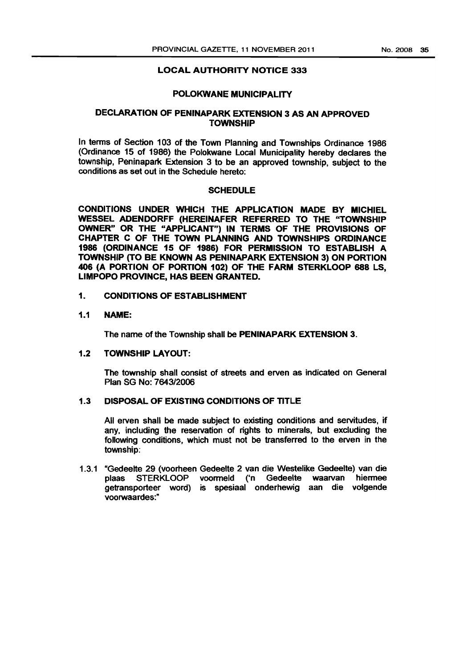# LOCAL AUTHORITY NOTICE 333

# POLOKWANE MUNICIPALITY

# DECLARATION OF PENINAPARK EXTENSION 3 AS AN APPROVED **TOWNSHIP**

In terms of Section 103 of the Town Planning and Townships Ordinance 1986 (Ordinance 15 of 1986) the Polokwane Local Municipality hereby declares the township, Peninapark Extension 3 to be an approved township, subject to the conditions as set out in the Schedule hereto:

# SCHEDULE

CONDITIONS UNDER WHICH THE APPLICATION MADE BY MICHIEL WESSEL ADENDORFF (HEREINAFER REFERRED TO THE "TOWNSHIP OWNER" OR THE "APPLICANT") IN TERMS OF THE PROVISIONS OF CHAPTER C OF THE TOWN PLANNING AND TOWNSHIPS ORDINANCE 1986 (ORDINANCE 15 OF 1986) FOR PERMISSION TO ESTABLISH A TOWNSHIP (TO BE KNOWN AS PENINAPARK EXTENSION 3) ON PORTION 406 (A PORTION OF PORTION 102) OF THE FARM STERKLOOP 688 LS. LIMPOPO PROVINCE, HAS BEEN GRANTED.

# 1. CONDITIONS OF ESTABLISHMENT

# 1.1 NAME:

The name of the Township shall be PENINAPARK EXTENSION 3.

# 1.2 TOWNSHIP LAYOUT:

The township shall consist of streets and erven as indicated on General Plan SG No: 7643/2006

# 1.3 DISPOSAL OF EXISTING CONDITIONS OF TITLE

All erven shall be made subject to existing conditions and servitudes, if any, including the reservation of rights to minerals, but excluding the following conditions, which must not be transferred to the erven in the township:

1.3.1 "Gedeelte 29 (voorheen Gedeelte 2 van die Westelike Gedeelte) van die plaas STERKLOOP voormeld ('n Gedeelte waarvan hiermee getransporteer word) is spesiaal onderhewig aan die volgende voorwaardes:"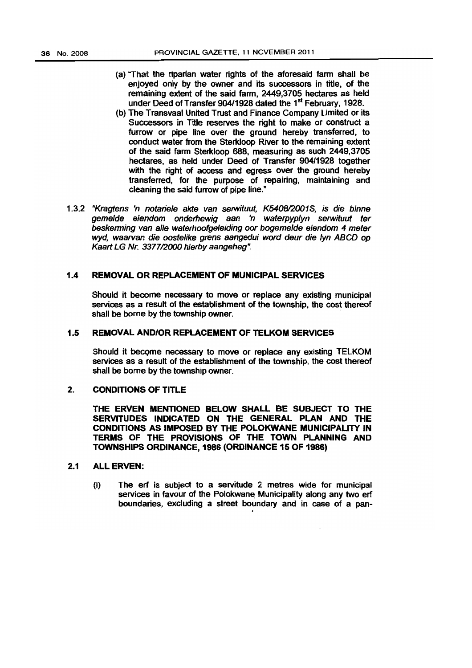- (a) "That the riparian water rights of the aforesaid farm shall be enjoyed only by the owner and its successors in title, of the remaining extent of the said farm, 2449,3705 hectares as held under Deed of Transfer 904/1928 dated the 1<sup>st</sup> February, 1928.
- (b) The Transvaal United Trust and Finance Company Umited or its Successors in Title reserves the right to make or construct a furrow or pipe line over the ground hereby transferred. to conduct water from the Sterkloop River to the remaining extent of the said farm Sterkloop 688, measuring as such 2449,3705 hectares, as held under Deed of Transfer 904/1928 together with the right of access and egress over the ground hereby transferred, for the purpose of repairing, maintaining and cleaning the said furrow of pipe line."
- 1.3.2 "Kragtens 'n notariele akte van serwituut, K5408/2001S, is die binne geme/de eiendom onderhewig aan 'n waterpyplyn serwituut ter beskerming van alle waterhoofgeleiding oor bogemelde eiendom 4 meter wyd, waarvan die oostelike grens aangedui word deur die lyn ABCD op Kaart LG Nr. 3377/2000 hierby aangeheg".

# 1.4 REMOVAL OR REPLACEMENT OF MUNICIPAL SERVICES

Should it become necessary to move or replace any existing municipal services as a result of the establishment of the township. the cost thereof shall be borne by the township owner. .

# 1.5 REMOVAL ANDIOR REPLACEMENT OF TELKOM SERVICES

Should it become necessary to move or replace any existing TELKOM services as a result of the establishment of the township. the cost thereof shall be borne by the township owner.

# 2. CONDITIONS OF TITLE

THE ERVEN MENTIONED BELOW SHALL BE SUBJECT TO THE SERVITUDES INDICATED ON THE GENERAL PLAN AND THE CONDITIONS AS IMPOSED BY THE POLOKWANE MUNICIPAUTY IN TERMS OF THE PROVISIONS OF THE TOWN PLANNING AND TOWNSHIPS ORDINANCE, 1986 (ORDINANCE 15 OF 1986)

# 2.1 ALL ERVEN:

(i) The erf is subject to a servitude 2 metres wide for municipal services in favour of the Polokwane Municipality along any two erf boundaries, excluding a street boundary and in case of a pan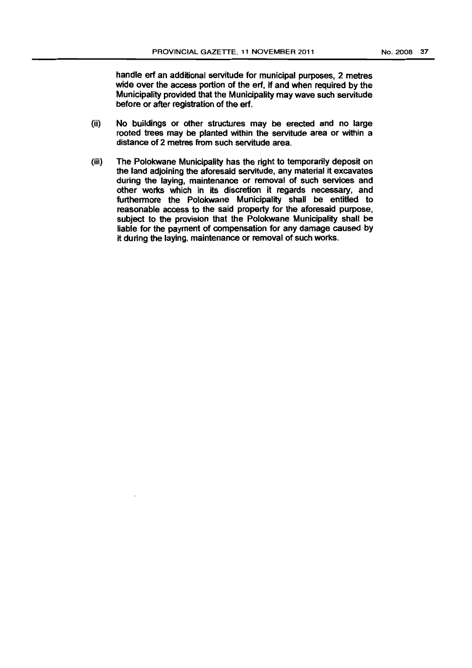handle erf an additional servitude for municipal purposes, 2 metres wide over the access portion of the erf, if and when required by the Municipality provided that the Municipality may wave such servitude before or after registration of the ert.

- (ii) No buildings or other strudures may be erected and no large rooted trees may be planted within the servitude area or within a distance of 2 metres from such servitude area.
- (iii) The Polokwane Municipality has the right to temporarily deposit on the land adjoining the aforesaid servitude, any material it excavates during the laying, maintenance or removal of such services and other works which in its discretion it regards necessary, and furthermore the Polokwane Municipality shall be entitled to reasonable access to the said property for the aforesaid purpose, subject to the provision that the Polokwane Municipality shall be liable for the payment of compensation for any damage caused by it during the laying, maintenance or removal of such works.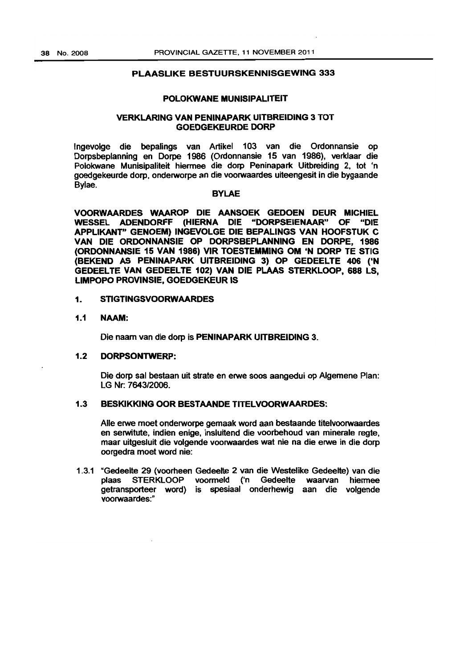# PLAASLIKE BESTUURSKENNISGEWING 333

#### POLOKWANE MUNISIPALITEIT

# VERKLARING VAN PENINAPARK UITBREIDING 3 TOT GOEDGEKEURDE DORP

Ingevolge die bepalings van Artikel 103 van die Ordonnansie op Dorpsbeplanning en Darpe 1986 (Ordonnansie 15 van 1986). verklaar die Polokwane Munisipaliteit hiermee die dorp Peninapark Uitbreiding 2, tot 'n goedgekeurde dorp, onderworpe an die voorwaardes uiteengesit in die bygaande Bylae.

#### BYLAE

VOORWAARDES WAAROP DIE AANSOEK GEDOEN DEUR MICHIEL WESSEL ADENDORFF (HIERNA DIE "DORPSEIENAAR" OF "DIE APPLIKANT" GENOEM) INGEVOLGE DIE BEPALINGS VAN HOOFSTUK C VAN DIE ORDONNANSIE OP DORPSBEPLANNING EN DORPE, 1986 (ORDONNANSIE 16 VAN 1986) VIR TOESTEMMING OM 'N DORP TE STIG (BEKEND AS PENINAPARK UITBREIDING 3) OP GEDEELTE 406 ('N GEDEELTE VAN GEDEELTE 102) VAN DIE PLAAS STERKLOOP, 688 LS, LIMPOPO PROVINSIE. GOEDGEKEUR IS

# 1. STIGTINGSVOORWAARDES

# 1.1 NAAM:

Die naam van die dorp is PENINAPARK UITBREIDING 3.

# 1.2 DORPSONTWERP:

Die dorp sal bestaan uit strate en erwe soos aangedui op Aigemene Plan: LG Nr: 764312006.

# 1.3 BESKlKKlNG OOR BESTAANDE TITELVOORWAARDES:

Aile erwe moet onderworpe gemaak word aan bestaande titelvoorwaardes en serwitute, indien enige, insluitend die voorbehoud van minerale regte, maar uitgesluit die volgende voorwaardes wat nie na die erwe in die dorp oorgedra moet word nie:

1.3.1 "Gedeelte 29 (voorheen GedeeHe 2 van die Westelike Gedeelte) van die plaas STERKLOOP voormeld ('n Gedeelte waarvan hiermee getransporteer word) is spesiaal onderhewig aan die volgende voorwaardes:"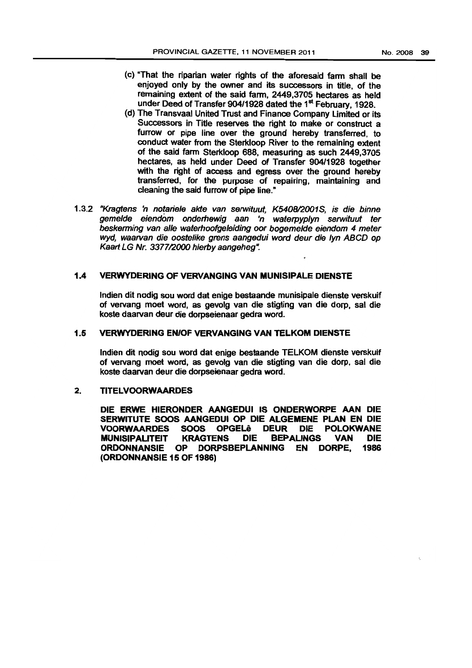- (c) "That the riparian water rights of the aforesaid fann shall be enjoyed only by the owner and its successors in title, of the remaining extent of the said fann, 2449,3705 hectares as held under Deed of Transfer 904/1928 dated the 1<sup>st</sup> February, 1928.
- (d) The Transvaal United Trust and Finance Company Limited or its Successors in Title reserves the right to make or construct a furrow or pipe line over the ground hereby transferred, to conduct water from the Sterkloop River to the remaining extent of the said farm Sterkloop 688, measuring as such 2449,3705 hectares, as held under Deed of Transfer 90411928 together with the right of access and egress over the ground hereby transferred, for the purpose of repairing. maintaining and cleaning the said furrow of pipe line."
- 1.3.2 "Kragtens 'n notariele akte van serwituut, K5408/2001S, is die binne geme/de eiendOm ondemewig aan In waterpyp/yn serwituut ter beskerming van alle waterhoofgeleiding oor bogemelde eiendom 4 meter wyd, waarvan die oostelike grens aangedui word deur die lyn ABCD op Kaart LG Nr. 337712000 hierby aangeheg".

# 1.4 VERWYDERING OF VERVANGING VAN MUNISIPALE DIENSTE

Indien dit nodig sou word dat enige bestaande munisipale dienste verskuif of vervang moet word, as gevolg van die stigting van die dorp, sal die koste daarvan deur die dorpseienaar gedra word.

# 1.5 VERWYDERING EN/OF VERVANGING VAN TELKOM DIENSTE

Indien dit nodig sou word dat enige bestaande TELKOM dienste verskuif of vervang moet word, as gevolg van die stigting van die dorp. sal die koste daarvan deur die dorpseienaar gedra word.

# 2. TITELVOORWAARDES

DIE ERWE HIERONDER AANGEDUI IS ONDERWORPE AAN DIE SERWITUTE SOOS AANGEDUI OP DIE ALGEMENE PLAN EN DIE VOORWAARDES SOOS OPGELe DEUR DIE POLOKWANE MUNISIPALITEIT KRAGTENS DIE BEPALINGS VAN DIE ORDONNANSIE OP DORPSBEPLANNING EN DORPE, 1986 (ORDONNANSIE 15 OF 1986)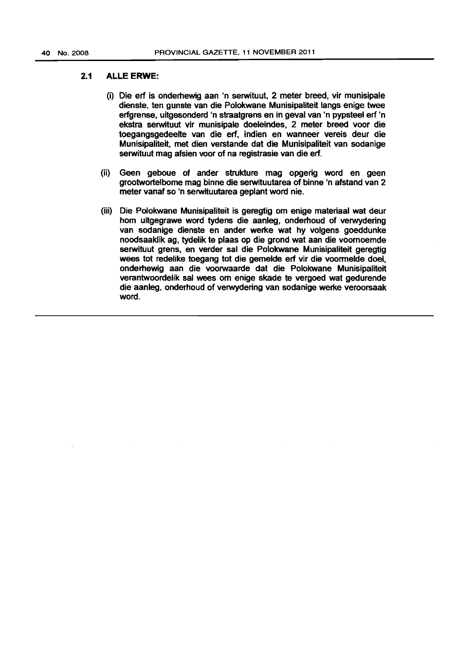# 2.1 ALLE ERWE:

- (i) Die erf is onderhewig aan 'n serwituut, 2 meter breed, vir munisipale dienste, ten gunste van die Polokwane Munisipaliteit langs enige twee erfgrense, uitgesonderd 'n straatgrens en in geval van 'n pypsteel erf 'n ekstra serwituut vir munisipale doeleindes, 2 meter breed voor die toegangsgedeelte van die erf, indien en wanneer vereis deur die Munisipaliteit, met dien verstande dat die Munisipaliteit van sodanige serwituut mag afsien voor of na registrasie van die erf.
- (ii) Geen geboue of ander strukture mag opgerig word en geen grootwortelbome mag binne die serwituutarea of binne 'n afstand van 2 meter vanaf so 'n serwituutarea geplant word nie.
- (iii) Die Polokwane Munisipaliteit is geregtig om enige materiaal wat deur hom uitgegrawe word tydens die aanleg, onderhoud of verwydering van sodanige dienste en ander werke wat hy volgens goeddunke noodsaaklik ag, tydelik te plaas op die grond wat aan die voornoemde serwituut grens, en verder sal die Polokwane Munisipaliteit geregtig wees tot redelike toegang tot die gemelde erf vir die voormelde doel, onderhewig aan die voorwaarde dat die Polokwane Munisipaliteit verantwoordelik sal wees om enige skade te vergoed wat gedurende die aanleg, onderhoud of verwydering van sodanige werke veroorsaak word.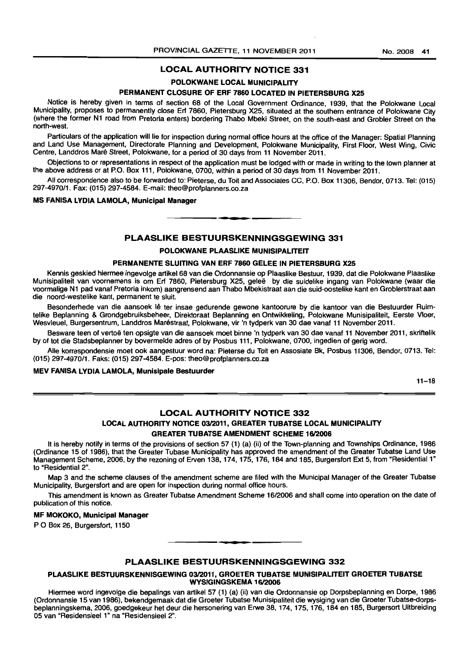#### No.2008 41

# LOCAL AUTHORITY NOTICE 331

# POLOKWANE LOCAL MUNICIPALITY

# PERMANENT CLOSURE OF ERF 7860 LOCATED IN PIETERSBURG X25

Notice is hereby given in terms of section 68 of the Local Government Ordinance, 1939, that the Polokwane Local Municipality, proposes to permanently close Erf 7860, Pietersburg X25, situated at the southern entrance of Polokwane City (where the former N1 road from Pretoria enters) bordering Thabo Mbeki Street, on the south-east and Grobler Street on the north-west.

Particulars of the application will lie for inspection during normal office hours at the office of the Manager: Spatial Planning and Land Use Management, Directorate Planning and Development, Polokwane Municipality, First Floor, West Wing, Civic Centre, Landdros Mare Street, Polokwane, for a period of 30 days from 11 November 2011.

Objections to or representations in respect of the application must be lodged with or made in writing to the town planner at the above address or at P.O. Box 111, Polokwane, 0700, within a period of 30 days from 11 November 2011.

All correspondence also to be forwarded to: Pieterse, du Toit and Associates CC, P.O. Box 11306, Bendor, 0713. Tel: (015) 297-497011. Fax: (015) 297-4584. E-mail: theo@profplanners.co.za

#### MS FANISA LYDIA LAMOLA, MuniCipal Manager

# PLAASLIKE BESTUURSKENNINGSGEWING 331

**• •** 

#### POLOKWANE PLAASLIKE MUNISIPALITEIT

#### PERMANENTE SLUITING VAN ERF 7860 GELEE IN PIETERSBURG X25

Kennis geskied hiermee ingevolge artikel 68 van die Ordonnansie op Plaaslike Bestuur, 1939, dat die Polokwane Plaaslike Munisipaliteit van voornemens is om Erf 7860, Pietersburg X25, gelee by die suidelike ingang van Polokwane (waar die voormalige N1 pad vanaf Pretoria inkom) aangrensend aan Thabo Mbekistraat aan die suid-oostelike kant en Groblerstraat aan die noord-westelike kant, permanent te sluit.

Besonderhede van die aansoek lê ter insae gedurende gewone kantoorure by die kantoor van die Bestuurder Ruimtelike Beplanning & Grondgebruiksbeheer, Direktoraat Beplanning an Ontwikkeling, Polokwane Munisipaliteit, Earste Vloer, Wesvleuel, Burgersentrum, Landdros Marestraat, Polokwane, vir 'n tydperk van 30 dae vanaf 11 November 2011.

Besware teen of vertoë ten opsigte van die aansoek moet binne 'n tydperk van 30 dae vanaf 11 November 2011, skriftelik by of tot die Stadsbeplanner by bovermelde adres of by Posbus 111, Polokwane, 0700, ingedien of gerig word.

Aile korrespondensie moet ook aangestuur word na: Pieterse du Toit en Assosiate Bk, Posbus 11306, Bendor, 0713. Tel: (015) 297-4970/1. Faks: (015) 297-4584. E-pos: theo@profplanners.co.za

#### MEV FANISA LYDIA LAMOLA, Munislpale Bestuurder

 $11 - 18$ 

# LOCAL AUTHORITY NOTICE 332

# LOCAL AUTHORITY NOTICE 03/2011, GREATER TUBATSE LOCAL MUNICIPALITY GREATER TUBATSE AMENDMENT SCHEME 16/2006

It is hereby notify in terms of the provisions of section 57 (1) (a) (ii) of the Town-planning and Townships Ordinance, 1986 (Ordinance 15 of 1986), that the Greater Tubase Municipality has approved the amendment of the Greater Tubatse Land Use Management Scheme, 2006, by the rezoning of Erven 138, 174, 175, 176, 184 and 185, Burgersfort Ext 5, from "Residential 1" to "Residential 2".

Map 3 and the scheme clauses of the amendment scheme are filed with the Municipal Manager of the Greater Tubatse Municipality, Burgersfort and are open for inspection during normal office hours.

This amendment is known as Greater Tubatse Amendment Scheme 16/2006 and shall come into operation on the date of publication of this notice.

#### MF MOKOKO, Municipal Manager

PO Box 26, Burgersfort, 1150

#### PLAASLIKE BESTUURSKENNINGSGEWING 332

**• •** 

#### PLAASLIKE BESTUURSKENNISGEWING 03/2011, GROETER TUBATSE MUNISIPALITEIT GROETER TUBATSE WYSIGINGSKEMA 16/2006

Hiermee word ingevolge die bepalings van artikel 57 (1) (a) (ii) van die Ordonnansie op Dorpsbeplanning en Dorpa, 1986 (Ordonnansie 15 van 1986), bekendgemaak dat die Groeter Tubatse Munisipaliteit die wysiging van die Groeter Tubatse-dorpsbeplanningskema, 2006, goedgekeur het deur die hersonering van Erwe 38,174,175,176,184 en 185, Burgersort Uitbreiding 05 van "Residensieel 1" na "Residensieel 2".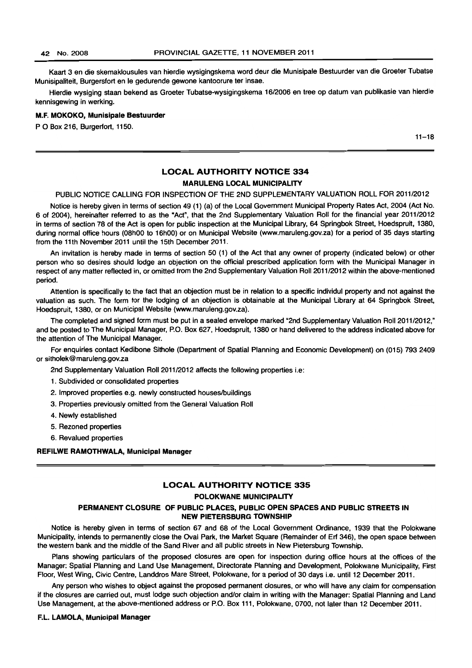Kaart 3 en die skemaklousules van hierdie wysigingskema word deur die Munisipale Bestuurder van die Groeter Tubatse Munisipaliteit, Burgersfort en Ie gedurende gewone kantoorure ter insae.

Hierdie wysiging staan bekend as Groeter Tubatse-wysigingskema 1612006 en tree op datum van publikasie van hierdie kennisgewing in werking.

#### M.F. MOKOKO, Munisipale Bestuurder

P O Box 216, Burgerfort, 1150.

 $11 - 18$ 

# **LOCAL AUTHORITY NOTICE 334** MARULENG LOCAL MUNICIPALITY

PUBLIC NOTICE CALLING FOR INSPECTION OF THE 2ND SUPPLEMENTARY VALUATION ROLL FOR 201112012

Notice is hereby given in terms of section 49 (1) (a) of the Local Govemment Municipal Property Rates Act, 2004 (Act No. 6 of 2004), hereinafter referred to as the "Act", that the 2nd Supplementary Valuation Roll for the financial year 2011/2012 in terms of section 78 of the Act is open for public inspection at the Municipal Library. 64 Springbok Street, Hoedspruit, 1380, during normal office hours (OShOO to 16hOO) or on Municipal Website (www.maruleng.gov.za) for a period of 35 days starting from the 11th November 2011 until the 15th December 2011.

An invitation is hereby made in terms of section 50 (1) of the Act that any owner of property (indicated below) or other person who so desires should lodge an objection on the official prescribed application form with the Municipal Manager in respect of any matter reflected in. or omitted from the 2nd Supplementary Valuation Roll 2011/2012 within the above-mentioned period.

Attention is specifically to the fact that an objection must be in relation to a specific individul property and not against the valuation as such. The form for the lodging of an objection is obtainable at the Municipal library at 64 Springbok Street, Hoedspruit, 1380, or on Municipal Website (www.maruleng.gov.za).

The completed and signed form must be put in a sealed envelope marked "2nd Supplementary Valuation Roll 2011/2012," and be posted to The Municipal Manager, P.O. Box 627, Hoedspruit, 1380 or hand delivered to the address indicated above for the attention of The Municipal Manager.

For enquiries contact Kedibone Sithole (Department of Spatial Planning and Economic Development) on (015) 793 2409 or sitholek@maruleng.gov.za

2nd Supplementary Valuation Roll 2011/2012 affects the following properties i.e:

- 1. Subdivided or consolidated properties
- 2. Improved properties e.g. newly constructed houses/buildings
- 3. Properties previously omitted from the General Valuation Roll
- 4. Newly established
- 5. Rezoned properties
- 6. Revalued properties

#### REFILWE RAMOTHWALA, Municipal Manager

# LOCAL AUTHORITY NOTICE 335

#### POLOKWANE MUNICIPALITY

## PERMANENT CLOSURE OF PUBLIC PLACES, PUBLIC OPEN SPACES AND PUBLIC STREETS IN NEW PIETERSBURG TOWNSHIP

Notice is hereby given in terms of section 67 and 68 of the Local Government Ordinance, 1939 that the Polokwane Municipality, intends to permanently close the Oval Park. the Market Square (Remainder of Erf 346), the open space between the western bank and the middle of the Sand River and all public streets in New Pietersburg Township.

Plans showing particulars of the proposed closures are open for inspection during office hours at the offices of the Manager: Spatial Planning and Land Use Management, Directorate Planning and Development, Polokwane Municipality, First Floor, West Wing, Civic Centre, Landdros Mare Street, Polokwane, for a period of 30 days i.e. until 12 December 2011.

Any person who wishes to object against the proposed permanent closures, or who will have any claim for compensation if the closures are carried out, must lodge such objection and/or claim in writing with the Manager: Spatial Planning and Land Use Management, at the above-mentioned address or P.O. Box 111, Polokwane, 0700, not later than 12 December 2011.

#### F.L LAMOLA, Municipal Manager